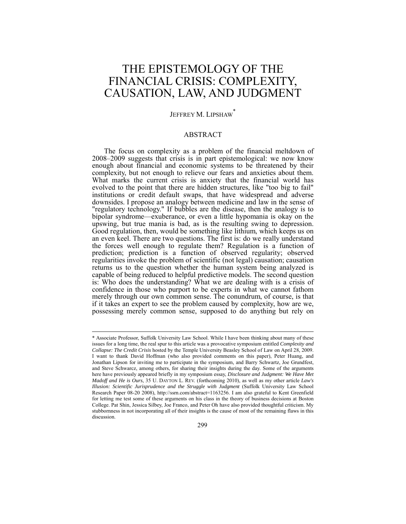# THE EPISTEMOLOGY OF THE FINANCIAL CRISIS: COMPLEXITY, CAUSATION, LAW, AND JUDGMENT

# JEFFREY M. LIPSHAW

# ABSTRACT

The focus on complexity as a problem of the financial meltdown of 2008–2009 suggests that crisis is in part epistemological: we now know enough about financial and economic systems to be threatened by their complexity, but not enough to relieve our fears and anxieties about them. What marks the current crisis is anxiety that the financial world has evolved to the point that there are hidden structures, like "too big to fail" institutions or credit default swaps, that have widespread and adverse downsides. I propose an analogy between medicine and law in the sense of "regulatory technology." If bubbles are the disease, then the analogy is to bipolar syndrome—exuberance, or even a little hypomania is okay on the upswing, but true mania is bad, as is the resulting swing to depression. Good regulation, then, would be something like lithium, which keeps us on an even keel. There are two questions. The first is: do we really understand the forces well enough to regulate them? Regulation is a function of prediction; prediction is a function of observed regularity; observed regularities invoke the problem of scientific (not legal) causation; causation returns us to the question whether the human system being analyzed is capable of being reduced to helpful predictive models. The second question is: Who does the understanding? What we are dealing with is a crisis of confidence in those who purport to be experts in what we cannot fathom merely through our own common sense. The conundrum, of course, is that if it takes an expert to see the problem caused by complexity, how are we, possessing merely common sense, supposed to do anything but rely on

<sup>\*</sup> Associate Professor, Suffolk University Law School. While I have been thinking about many of these issues for a long time, the real spur to this article was a provocative symposium entitled *Complexity and Collapse: The Credit Crisis* hosted by the Temple University Beasley School of Law on April 28, 2009. I want to thank David Hoffman (who also provided comments on this paper), Peter Huang, and Jonathan Lipson for inviting me to participate in the symposium, and Barry Schwartz, Joe Grundfest, and Steve Schwarcz, among others, for sharing their insights during the day. Some of the arguments here have previously appeared briefly in my symposium essay, *Disclosure and Judgment: We Have Met Madoff and He is Ours*, 35 U. DAYTON L. REV. (forthcoming 2010), as well as my other article *Law's Illusion: Scientific Jurisprudence and the Struggle with Judgment* (Suffolk University Law School Research Paper 08-20 2008), http://ssrn.com/abstract=1163256. I am also grateful to Kent Greenfield for letting me test some of these arguments on his class in the theory of business decisions at Boston College. Pat Shin, Jessica Silbey, Joe Franco, and Peter Oh have also provided thoughtful criticism. My stubbornness in not incorporating all of their insights is the cause of most of the remaining flaws in this discussion.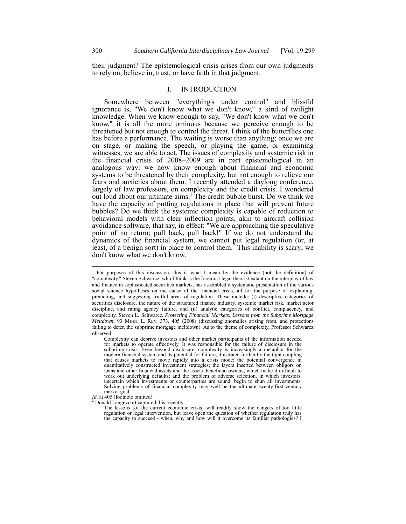their judgment? The epistemological crisis arises from our own judgments to rely on, believe in, trust, or have faith in that judgment.

# I. INTRODUCTION

Somewhere between "everything's under control" and blissful ignorance is, "We don't know what we don't know," a kind of twilight knowledge. When we know enough to say, "We don't know what we don't know," it is all the more ominous because we perceive enough to be threatened but not enough to control the threat. I think of the butterflies one has before a performance. The waiting is worse than anything; once we are on stage, or making the speech, or playing the game, or examining witnesses, we are able to act. The issues of complexity and systemic risk in the financial crisis of 2008–2009 are in part epistemological in an analogous way: we now know enough about financial and economic systems to be threatened by their complexity, but not enough to relieve our fears and anxieties about them. I recently attended a daylong conference, largely of law professors, on complexity and the credit crisis. I wondered out loud about our ultimate aims.<sup>1</sup> The credit bubble burst. Do we think we have the capacity of putting regulations in place that will prevent future bubbles? Do we think the systemic complexity is capable of reduction to behavioral models with clear inflection points, akin to aircraft collision avoidance software, that say, in effect: "We are approaching the speculative point of no return; pull back, pull back!" If we do not understand the dynamics of the financial system, we cannot put legal regulation (or, at least, of a benign sort) in place to control them.<sup>2</sup> This inability is scary; we don't know what we don't know.

<sup>1</sup> For purposes of this discussion, this is what I mean by the evidence (not the definition) of "complexity." Steven Schwarcz, who I think is the foremost legal theorist extant on the interplay of law and finance in sophisticated securities markets, has assembled a systematic presentation of the various social science hypotheses on the cause of the financial crisis, all for the purpose of explaining, predicting, and suggesting fruitful areas of regulation. These include: (i) descriptive categories of securities disclosure, the nature of the structured finance industry, systemic market risk, market actor discipline, and rating agency failure, and (ii) analytic categories of conflict, complacency, and complexity. Steven L. Schwarcz, *Protecting Financial Markets: Lessons from the Subprime Mortgage Meltdown*, 93 MINN. L. REV. 373, 405 (2008) (discussing anomalies arising from, and protections failing to deter, the subprime mortgage meltdown). As to the theme of complexity, Professor Schwarcz observed:

Complexity can deprive investors and other market participants of the information needed for markets to operate effectively. It was responsible for the failure of disclosure in the subprime crisis. Even beyond disclosure, complexity is increasingly a metaphor for the modern financial system and its potential for failure, illustrated further by the tight coupling that causes markets to move rapidly into a crisis mode; the potential convergence in quantitatively constructed investment strategies; the layers inserted between obligors on loans and other financial assets and the assets' beneficial owners, which make it difficult to work out underlying defaults; and the problem of adverse selection, in which investors, uncertain which investments or counterparties are sound, begin to shun all investments. Solving problems of financial complexity may well be the ultimate twenty-first century

market goal.<br>*Id.* at 405 (footnote omitted).

*Id*. at 405 (footnote omitted).<br><sup>2</sup> Donald Langevoort captured this recently:<br>The lessons [of the current economic crisis] will readily show the dangers of too little regulation or legal intervention, but leave open the question of whether regulation truly has the capacity to succeed - when, why and how will it overcome its familiar pathologies? I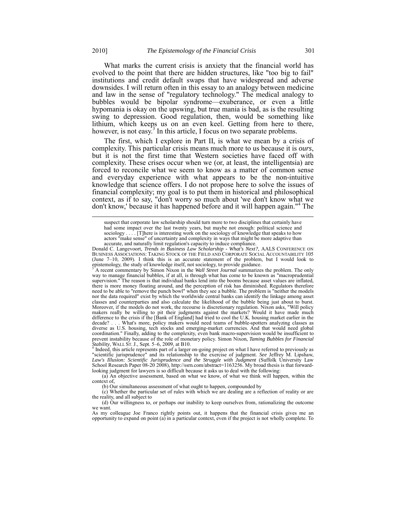What marks the current crisis is anxiety that the financial world has evolved to the point that there are hidden structures, like "too big to fail" institutions and credit default swaps that have widespread and adverse downsides. I will return often in this essay to an analogy between medicine and law in the sense of "regulatory technology." The medical analogy to bubbles would be bipolar syndrome—exuberance, or even a little hypomania is okay on the upswing, but true mania is bad, as is the resulting swing to depression. Good regulation, then, would be something like lithium, which keeps us on an even keel. Getting from here to there, however, is not easy.<sup>3</sup> In this article, I focus on two separate problems.

The first, which I explore in Part II, is what we mean by a crisis of complexity. This particular crisis means much more to us because it is *ours*, but it is not the first time that Western societies have faced off with complexity. These crises occur when we (or, at least, the intelligentsia) are forced to reconcile what we seem to know as a matter of common sense and everyday experience with what appears to be the non-intuitive knowledge that science offers. I do not propose here to solve the issues of financial complexity; my goal is to put them in historical and philosophical context, as if to say, "don't worry so much about 'we don't know what we don't know,' because it has happened before and it will happen again."<sup>4</sup> The

<sup>3</sup> A recent commentary by Simon Nixon in the *Wall Street Journal* summarizes the problem. The only way to manage financial bubbles, if at all, is through what has come to be known as "macroprudential supervision." The reason is that individual banks lend into the booms because asset values are inflated, there is more money floating around, and the perception of risk has diminished. Regulators therefore need to be able to "remove the punch bowl" when they see a bubble. The problem is "neither the models nor the data required" exist by which the worldwide central banks can identify the linkage among asset classes and counterparties and also calculate the likelihood of the bubble being just about to burst. Moreover, if the models do not work, the recourse is discretionary regulation. Nixon asks, "Will policy makers really be willing to pit their judgments against the markets? Would it have made much difference to the crisis if the [Bank of England] had tried to cool the U.K. housing market earlier in the decade? . . . What's more, policy makers would need teams of bubble-spotters analyzing classes as diverse as U.S. housing, tech stocks and emerging-market currencies. And that would need global coordination." Finally, adding to the complexity, even bank macro-supervision would be insufficient to prevent instability because of the role of monetary policy. Simon Nixon, *Taming Bubbles for Financial Stability*, WALL ST. J., Sept. 5–6, 2009, at B10.<br><sup>4</sup> Indeed, this article represents part of a larger on-going proje

"scientific jurisprudence" and its relationship to the exercise of judgment. *See* Jeffrey M. Lipshaw, *Law's Illusion: Scientific Jurisprudence and the Struggle with Judgment* (Suffolk University Law School Research Paper 08-20 2008), http://ssrn.com/abstract=1163256. My broad thesis is that forwardlooking judgment for lawyers is so difficult because it asks us to deal with the following:

(a) An objective assessment, based on what we know, of what we think will happen, within the context of,

(b) Our simultaneous assessment of what ought to happen, compounded by

(c) Whether the particular set of rules with which we are dealing are a reflection of reality or are the reality, and all subject to

(d) Our willingness to, or perhaps our inability to keep ourselves from, rationalizing the outcome we want.

As my colleague Joe Franco rightly points out, it happens that the financial crisis gives me an opportunity to expand on point (a) in a particular context, even if the project is not wholly complete. To

suspect that corporate law scholarship should turn more to two disciplines that certainly have had some impact over the last twenty years, but maybe not enough: political science and sociology . . . . [T]here is interesting work on the sociology of knowledge that speaks to how actors "make sense" of uncertainty and complexity in ways that might be more adaptive than accurate, and naturally limit regulation's capacity to induce compliance.

Donald C. Langevoort, *Trends in Business Law Scholarship - What's Next?,* AALS CONFERENCE ON BUSINESS ASSOCIATIONS: TAKING STOCK OF THE FIELD AND CORPORATE SOCIAL ACCOUNTABILITY 105 (June 7–10, 2009). I think this is an accurate statement of the problem, but I would look to epistemology, the study of knowledge itself, not sociology, to provide guidance.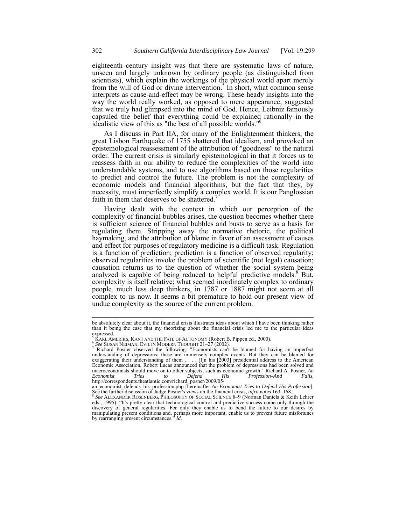eighteenth century insight was that there are systematic laws of nature, unseen and largely unknown by ordinary people (as distinguished from scientists), which explain the workings of the physical world apart merely from the will of God or divine intervention.<sup>5</sup> In short, what common sense interprets as cause-and-effect may be wrong. These heady insights into the way the world really worked, as opposed to mere appearance, suggested that we truly had glimpsed into the mind of God. Hence, Leibniz famously capsuled the belief that everything could be explained rationally in the idealistic view of this as "the best of all possible worlds."6

As I discuss in Part IIA, for many of the Enlightenment thinkers, the great Lisbon Earthquake of 1755 shattered that idealism, and provoked an epistemological reassessment of the attribution of "goodness" to the natural order. The current crisis is similarly epistemological in that it forces us to reassess faith in our ability to reduce the complexities of the world into understandable systems, and to use algorithms based on those regularities to predict and control the future. The problem is not the complexity of economic models and financial algorithms, but the fact that they, by necessity, must imperfectly simplify a complex world. It is our Panglossian faith in them that deserves to be shattered.<sup>7</sup>

Having dealt with the context in which our perception of the complexity of financial bubbles arises, the question becomes whether there is sufficient science of financial bubbles and busts to serve as a basis for regulating them. Stripping away the normative rhetoric, the political haymaking, and the attribution of blame in favor of an assessment of causes and effect for purposes of regulatory medicine is a difficult task. Regulation is a function of prediction; prediction is a function of observed regularity; observed regularities invoke the problem of scientific (not legal) causation; causation returns us to the question of whether the social system being analyzed is capable of being reduced to helpful predictive models.<sup>8</sup> But, complexity is itself relative; what seemed inordinately complex to ordinary people, much less deep thinkers, in 1787 or 1887 might not seem at all complex to us now. It seems a bit premature to hold our present view of undue complexity as the source of the current problem.

be absolutely clear about it, the financial crisis illustrates ideas about which I have been thinking rather than it being the case that my theorizing about the financial crisis led me to the particular ideas expressed.

<sup>&</sup>lt;sup>5</sup> KARLAMERIKS, KANTAND THE FATE OF AUTONOMY (Robert B. Pippen ed., 2000).<br>
<sup>6</sup> See SUSAN NEIMAN, EVIL IN MODERN THOUGHT 21–27 (2002).<br>
<sup>7</sup> Richard Posner observed the following: "Economists can't be blamed for having an understanding of depressions; these are immensely complex events. But they can be blamed for exaggerating their understanding of them . . . . [I]n his [2003] presidential address to the American Economic Association, Robert Lucas announced that the problem of depressions had been solved and macroeconomists should move on to other subjects, such as economic growth." Richard A. Posner, *An Economist* Tries to Defend His Profession–And Fails, http://correspondents.theatlantic.com/richard\_posner/2009/05/

an economist defends his profession php [hereinafter *An Economist Tries to Defend His Profession*].<br>See the further discussion of Judge Posner's views on the financial crisis, *infra* notes 163–168.<br><sup>8</sup> See ALEXANDER ROSE

eds., 1995). "It's pretty clear that technological control and predictive success come only through the discovery of general regularities. For only they enable us to bend the future to our desires by manipulating present conditions and, perhaps more important, enable us to prevent future misfortunes by rearranging present circumstances." *Id.*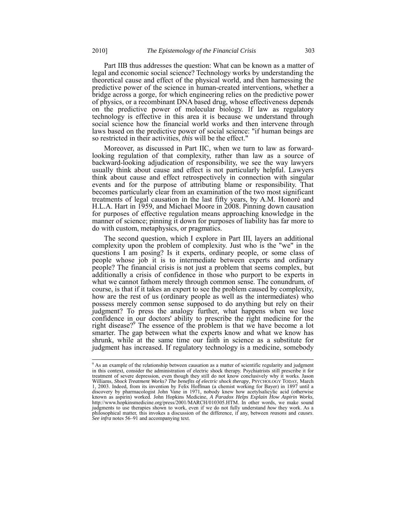Part IIB thus addresses the question: What can be known as a matter of legal and economic social science? Technology works by understanding the theoretical cause and effect of the physical world, and then harnessing the predictive power of the science in human-created interventions, whether a bridge across a gorge, for which engineering relies on the predictive power of physics, or a recombinant DNA based drug, whose effectiveness depends on the predictive power of molecular biology. If law as regulatory technology is effective in this area it is because we understand through social science how the financial world works and then intervene through laws based on the predictive power of social science: "if human beings are so restricted in their activities, *this* will be the effect."

Moreover, as discussed in Part IIC, when we turn to law as forwardlooking regulation of that complexity, rather than law as a source of backward-looking adjudication of responsibility, we see the way lawyers usually think about cause and effect is not particularly helpful. Lawyers think about cause and effect retrospectively in connection with singular events and for the purpose of attributing blame or responsibility. That becomes particularly clear from an examination of the two most significant treatments of legal causation in the last fifty years, by A.M. Honoré and H.L.A. Hart in 1959, and Michael Moore in 2008. Pinning down causation for purposes of effective regulation means approaching knowledge in the manner of science; pinning it down for purposes of liability has far more to do with custom, metaphysics, or pragmatics.

The second question, which I explore in Part III, layers an additional complexity upon the problem of complexity. Just who is the "we" in the questions I am posing? Is it experts, ordinary people, or some class of people whose job it is to intermediate between experts and ordinary people? The financial crisis is not just a problem that seems complex, but additionally a crisis of confidence in those who purport to be experts in what we cannot fathom merely through common sense. The conundrum, of course, is that if it takes an expert to see the problem caused by complexity, how are the rest of us (ordinary people as well as the intermediates) who possess merely common sense supposed to do anything but rely on their judgment? To press the analogy further, what happens when we lose confidence in our doctors' ability to prescribe the right medicine for the right disease?<sup>9</sup> The essence of the problem is that we have become a lot smarter. The gap between what the experts know and what we know has shrunk, while at the same time our faith in science as a substitute for judgment has increased. If regulatory technology is a medicine, somebody

 $\overline{a}$ 

<sup>&</sup>lt;sup>9</sup> As an example of the relationship between causation as a matter of scientific regularity and judgment in this context, consider the administration of electric shock therapy. Psychiatrists still prescribe it for treatment of severe depression, even though they still do not know conclusively why it works. Jason Williams, *Shock Treatment Works? The benefits of electric shock therapy*, PSYCHOLOGY TODAY, March 1, 2003. Indeed, from its invention by Felix Hoffman (a chemist working for Bayer) in 1897 until a discovery by pharmacologist John Vane in 1971, nobody knew how acetylsalicylic acid (otherwise known as aspirin) worked. John Hopkins Medicine, *A Paradox Helps Explain How Aspirin Works*, http://www.hopkinsmedicine.org/press/2001/MARCH/010305.HTM. In other words, we make sound judgments to use therapies shown to work, even if we do not fully understand *how* they work. As a philosophical matter, this invokes a discussion of the difference, if any, between *reasons* and *causes*. *See infra* notes 56–91 and accompanying text.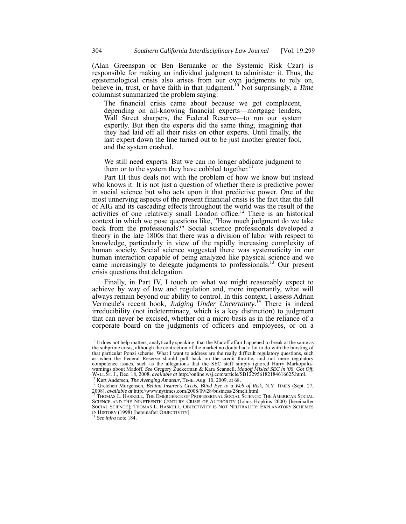(Alan Greenspan or Ben Bernanke or the Systemic Risk Czar) is responsible for making an individual judgment to administer it. Thus, the epistemological crisis also arises from our own judgments to rely on, believe in, trust, or have faith in that judgment.<sup>10</sup> Not surprisingly, a *Time* columnist summarized the problem saying:

The financial crisis came about because we got complacent, depending on all-knowing financial experts—mortgage lenders, Wall Street sharpers, the Federal Reserve—to run our system expertly. But then the experts did the same thing, imagining that they had laid off all their risks on other experts. Until finally, the last expert down the line turned out to be just another greater fool, and the system crashed.

We still need experts. But we can no longer abdicate judgment to them or to the system they have cobbled together.<sup>1</sup>

Part III thus deals not with the problem of how we know but instead who knows it. It is not just a question of whether there is predictive power in social science but who acts upon it that predictive power. One of the most unnerving aspects of the present financial crisis is the fact that the fall of AIG and its cascading effects throughout the world was the result of the activities of one relatively small London office.<sup>12</sup> There is an historical context in which we pose questions like, "How much judgment do we take back from the professionals?" Social science professionals developed a theory in the late 1800s that there was a division of labor with respect to knowledge, particularly in view of the rapidly increasing complexity of human society. Social science suggested there was systematicity in our human interaction capable of being analyzed like physical science and we came increasingly to delegate judgments to professionals.<sup>13</sup> Our present crisis questions that delegation.

Finally, in Part IV, I touch on what we might reasonably expect to achieve by way of law and regulation and, more importantly, what will always remain beyond our ability to control. In this context, I assess Adrian Vermeule's recent book, *Judging Under Uncertainty*. <sup>14</sup> There is indeed irreducibility (not indeterminacy, which is a key distinction) to judgment that can never be excised, whether on a micro-basis as in the reliance of a corporate board on the judgments of officers and employees, or on a

<sup>&</sup>lt;sup>10</sup> It does not help matters, analytically speaking, that the Madoff affair happened to break at the same as the subprime crisis, although the contraction of the market no doubt had a lot to do with the bursting of that particular Ponzi scheme. What I want to address are the really difficult regulatory questions, such as when the Federal Reserve should pull back on the credit throttle, and not mere regulatory competence issues, such as the allegations that the SEC staff simply ignored Harry Markopolos'<br>warnings about Madoff. See Gregory Zuckerman & Kara Scannell, *Madoff Misled SEC in '06, Got Off*, WALL ST. J., Dec. 18, 2008, available at http://online.wsj.com/article/SB122956182184616625.html.<br><sup>11</sup> Kurt Andersen, *The Avenging Amateur*, TIME, Aug. 10, 2009, at 68.<br><sup>12</sup> Gretchen Morgensen, *Behind Insurer's Crisis, B* 

<sup>2008),</sup> *available at http://www.nytimes.com/2008/09/28/business/28melt.html.*<br><sup>13</sup> THOMAS L. HASKELL, THE EMERGENCE OF PROFESSIONAL SOCIAL SCIENCE: THE AMERICAN SOCIAL <sup>13</sup>

SCIENCE AND THE NINETEENTH-CENTURY CRISIS OF AUTHORITY (Johns Hopkins 2000) [hereinafter SOCIAL SCIENCE]; THOMAS L. HASKELL, OBJECTIVITY IS NOT NEUTRALITY: EXPLANATORY SCHEMES IN HISTORY (1998) [hereinafter OBJECTIVITY]. <sup>14</sup> *See infra* note 184.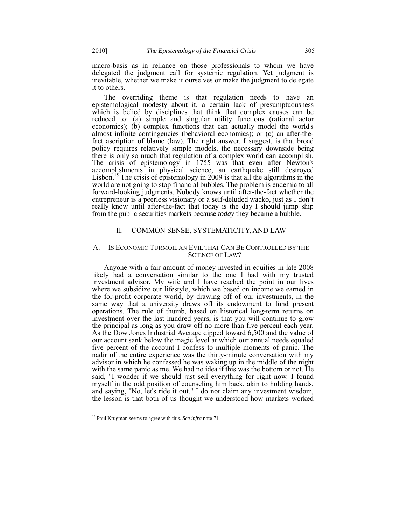macro-basis as in reliance on those professionals to whom we have delegated the judgment call for systemic regulation. Yet judgment is inevitable, whether we make it ourselves or make the judgment to delegate it to others.

The overriding theme is that regulation needs to have an epistemological modesty about it, a certain lack of presumptuousness which is belied by disciplines that think that complex causes can be reduced to: (a) simple and singular utility functions (rational actor economics); (b) complex functions that can actually model the world's almost infinite contingencies (behavioral economics); or (c) an after-thefact ascription of blame (law). The right answer, I suggest, is that broad policy requires relatively simple models, the necessary downside being there is only so much that regulation of a complex world can accomplish. The crisis of epistemology in 1755 was that even after Newton's accomplishments in physical science, an earthquake still destroyed Lisbon.<sup>15</sup> The crisis of epistemology in 2009 is that all the algorithms in the world are not going to stop financial bubbles. The problem is endemic to all forward-looking judgments. Nobody knows until after-the-fact whether the entrepreneur is a peerless visionary or a self-deluded wacko, just as I don't really know until after-the-fact that today is the day I should jump ship from the public securities markets because *today* they became a bubble.

# II. COMMON SENSE, SYSTEMATICITY, AND LAW

## A. IS ECONOMIC TURMOIL AN EVIL THAT CAN BE CONTROLLED BY THE SCIENCE OF LAW?

Anyone with a fair amount of money invested in equities in late 2008 likely had a conversation similar to the one I had with my trusted investment advisor. My wife and I have reached the point in our lives where we subsidize our lifestyle, which we based on income we earned in the for-profit corporate world, by drawing off of our investments, in the same way that a university draws off its endowment to fund present operations. The rule of thumb, based on historical long-term returns on investment over the last hundred years, is that you will continue to grow the principal as long as you draw off no more than five percent each year. As the Dow Jones Industrial Average dipped toward 6,500 and the value of our account sank below the magic level at which our annual needs equaled five percent of the account I confess to multiple moments of panic. The nadir of the entire experience was the thirty-minute conversation with my advisor in which he confessed he was waking up in the middle of the night with the same panic as me. We had no idea if this was the bottom or not. He said, "I wonder if we should just sell everything for right now. I found myself in the odd position of counseling him back, akin to holding hands, and saying, "No, let's ride it out." I do not claim any investment wisdom, the lesson is that both of us thought we understood how markets worked

<sup>15</sup> Paul Krugman seems to agree with this. *See infra* note 71.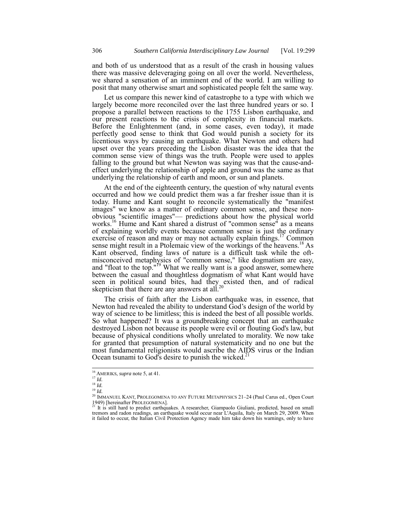and both of us understood that as a result of the crash in housing values there was massive deleveraging going on all over the world. Nevertheless, we shared a sensation of an imminent end of the world. I am willing to posit that many otherwise smart and sophisticated people felt the same way.

Let us compare this newer kind of catastrophe to a type with which we largely become more reconciled over the last three hundred years or so. I propose a parallel between reactions to the 1755 Lisbon earthquake, and our present reactions to the crisis of complexity in financial markets. Before the Enlightenment (and, in some cases, even today), it made perfectly good sense to think that God would punish a society for its licentious ways by causing an earthquake. What Newton and others had upset over the years preceding the Lisbon disaster was the idea that the common sense view of things was the truth. People were used to apples falling to the ground but what Newton was saying was that the cause-andeffect underlying the relationship of apple and ground was the same as that underlying the relationship of earth and moon, or sun and planets.

At the end of the eighteenth century, the question of why natural events occurred and how we could predict them was a far fresher issue than it is today. Hume and Kant sought to reconcile systematically the "manifest images" we know as a matter of ordinary common sense, and these nonobvious "scientific images"— predictions about how the physical world works.16 Hume and Kant shared a distrust of "common sense" as a means of explaining worldly events because common sense is just the ordinary exercise of reason and may or may not actually explain things.<sup>17</sup> Common sense might result in a Ptolemaic view of the workings of the heavens.<sup>18</sup> As Kant observed, finding laws of nature is a difficult task while the oftmisconceived metaphysics of "common sense," like dogmatism are easy, and "float to the top."<sup>19</sup> What we really want is a good answer, somewhere between the casual and thoughtless dogmatism of what Kant would have seen in political sound bites, had they existed then, and of radical skepticism that there are any answers at all. $^{20}$ 

The crisis of faith after the Lisbon earthquake was, in essence, that Newton had revealed the ability to understand God's design of the world by way of science to be limitless; this is indeed the best of all possible worlds. So what happened? It was a groundbreaking concept that an earthquake destroyed Lisbon not because its people were evil or flouting God's law, but because of physical conditions wholly unrelated to morality. We now take for granted that presumption of natural systematicity and no one but the most fundamental religionists would ascribe the AIDS virus or the Indian Ocean tsunami to God's desire to punish the wicked.<sup>21</sup>

 $\overline{a}$ 

<sup>&</sup>lt;sup>16</sup> AMERIKS, *supra* note 5, at 41.<br><sup>17</sup> *Id.* 

<sup>18</sup> *Id.*

<sup>&</sup>lt;sup>20</sup> IMMANUEL KANT, PROLEGOMENA TO ANY FUTURE METAPHYSICS 21–24 (Paul Carus ed., Open Court<br>1949) [hereinafter PROLEGOMENA].<br><sup>21</sup> It is still hard to prodict earthquakes. A secondary Cientral City is the U.S. of the U.S. I

It is still hard to predict earthquakes. A researcher, Giampaolo Giuliani, predicted, based on small tremors and radon readings, an earthquake would occur near L'Aquila, Italy on March 29, 2009. When it failed to occur, the Italian Civil Protection Agency made him take down his warnings, only to have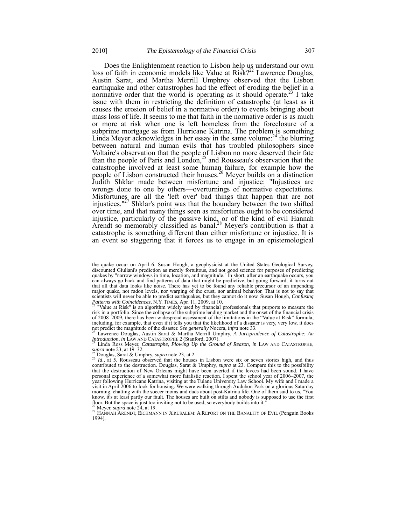Does the Enlightenment reaction to Lisbon help us understand our own loss of faith in economic models like Value at Risk?<sup>22</sup> Lawrence Douglas, Austin Sarat, and Martha Merrill Umphrey observed that the Lisbon earthquake and other catastrophes had the effect of eroding the belief in a normative order that the world is operating as it should operate.<sup>23</sup> I take issue with them in restricting the definition of catastrophe (at least as it causes the erosion of belief in a normative order) to events bringing about mass loss of life. It seems to me that faith in the normative order is as much or more at risk when one is left homeless from the foreclosure of a subprime mortgage as from Hurricane Katrina. The problem is something Linda Meyer acknowledges in her essay in the same volume: $^{24}$  the blurring between natural and human evils that has troubled philosophers since Voltaire's observation that the people of Lisbon no more deserved their fate than the people of Paris and London, $^{25}$  and Rousseau's observation that the catastrophe involved at least some human failure, for example how the people of Lisbon constructed their houses.<sup>26</sup> Meyer builds on a distinction Judith Shklar made between misfortune and injustice: "Injustices are wrongs done to one by others—overturnings of normative expectations. Misfortunes are all the 'left over' bad things that happen that are not injustices."27 Shklar's point was that the boundary between the two shifted over time, and that many things seen as misfortunes ought to be considered injustice, particularly of the passive kind, or of the kind of evil Hannah Arendt so memorably classified as banal.<sup>28</sup> Meyer's contribution is that a catastrophe is something different than either misfortune or injustice. It is an event so staggering that it forces us to engage in an epistemological

not predict the magnitude of the disaster. *See generally* Nocera, *infra* note 33.<br><sup>23</sup> Lawrence Douglas, Austin Sarat & Martha Merrill Umphry, *A Jurisprudence of Catastrophe: An Introduction, in* LAW AND CATASTROPHE 2 (

<sup>24</sup> Linda Ross Meyer, *Catastrophe, Plowing Up the Ground of Reason, in* LAW AND CATASTROPHE, *supra* note 23, at 19–32.

the quake occur on April 6. Susan Hough, a geophysicist at the United States Geological Survey, discounted Giuliani's prediction as merely fortuitous, and not good science for purposes of predicting quakes by "narrow windows in time, location, and magnitude." In short, after an earthquake occurs, you can always go back and find patterns of data that might be predictive, but going forward, it turns out that all that data looks like noise. There has yet to be found any reliable precursor of an impending major quake, not radon levels, nor warping of the crust, nor animal behavior. That is not to say that scientists will never be able to predict earthquakes, but they cannot do it now. Susan Hough, *Confusing* 

*Patterns with Coincidences*, N.Y. TIMES, Apr. 11, 2009, at 10.<br><sup>22</sup> "Value at Risk" is an algorithm widely used by financial professionals that purports to measure the risk in a portfolio. Since the collapse of the subprime lending market and the onset of the financial crisis of 2008–2009, there has been widespread assessment of the limitations in the "Value at Risk" formula, including, for example, that even if it tells you that the likelihood of a disaster is very, very low, it does

<sup>&</sup>lt;sup>25</sup> Douglas, Sarat & Umphry, *supra* note 23, at 2.<br><sup>26</sup> *Id.*, at 5. Rousseau observed that the houses in Lisbon were six or seven stories high, and thus contributed to the destruction. Douglas, Sarat & Umphry, *supra* at 23. Compare this to the possibility that the destruction of New Orleans might have been averted if the levees had been sound. I have personal experience of a somewhat more fatalistic reaction. I spent the school year of 2006–2007, the year following Hurricane Katrina, visiting at the Tulane University Law School. My wife and I made a visit in April 2006 to look for housing. We were walking through Audubon Park on a glorious Saturday morning, chatting with the soccer moms and dads about post-Katrina life. One of them said to us, "You know, it's at least partly our fault. The houses are built on stilts and nobody is supposed to use the first floor. But the space is just too inviting not to be used, so everybody builds into it."<br><sup>27</sup> Meyer, *supra* note 24, at 19.

<sup>&</sup>lt;sup>28</sup> HANNAH ARENDT, EICHMANN IN JERUSALEM: A REPORT ON THE BANALITY OF EVIL (Penguin Books 1994).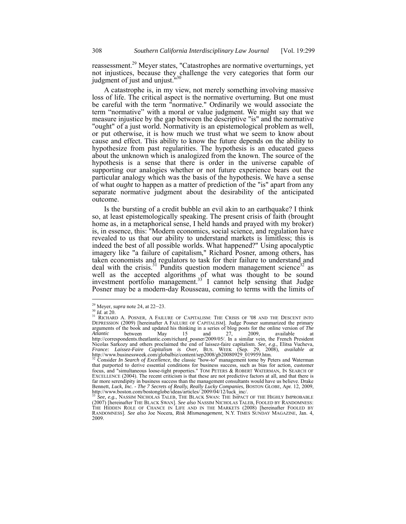reassessment.<sup>29</sup> Meyer states, "Catastrophes are normative overturnings, yet not injustices, because they challenge the very categories that form our judgment of just and unjust.<sup>"30</sup>

A catastrophe is, in my view, not merely something involving massive loss of life. The critical aspect is the normative overturning. But one must be careful with the term "normative." Ordinarily we would associate the term "normative" with a moral or value judgment. We might say that we measure injustice by the gap between the descriptive "is" and the normative "ought" of a just world. Normativity is an epistemological problem as well, or put otherwise, it is how much we trust what we seem to know about cause and effect. This ability to know the future depends on the ability to hypothesize from past regularities. The hypothesis is an educated guess about the unknown which is analogized from the known. The source of the hypothesis is a sense that there is order in the universe capable of supporting our analogies whether or not future experience bears out the particular analogy which was the basis of the hypothesis. We have a sense of what *ought* to happen as a matter of prediction of the "is" apart from any separate normative judgment about the desirability of the anticipated outcome.

Is the bursting of a credit bubble an evil akin to an earthquake? I think so, at least epistemologically speaking. The present crisis of faith (brought home as, in a metaphorical sense, I held hands and prayed with my broker) is, in essence, this: "Modern economics, social science, and regulation have revealed to us that our ability to understand markets is limitless; this is indeed the best of all possible worlds. What happened?" Using apocalyptic imagery like "a failure of capitalism," Richard Posner, among others, has taken economists and regulators to task for their failure to understand and deal with the crisis.<sup>31</sup> Pundits question modern management science<sup>32</sup> as well as the accepted algorithms of what was thought to be sound investment portfolio management.<sup>33</sup> I cannot help sensing that Judge Posner may be a modern-day Rousseau, coming to terms with the limits of

<sup>&</sup>lt;sup>29</sup> Meyer, *supra* note 24, at 22–23.<br><sup>30</sup> *Id.* at 20.<br><sup>31</sup> RICHARD A. POSNER, A FAILURE OF CAPITALISM: THE CRISIS OF '08 AND THE DESCENT INTO DEPRESSION (2009) [hereinafter A FAILURE OF CAPITALISM]. Judge Posner summarized the primary arguments of the book and updated his thinking in a series of blog posts for the online version of *The Atlantic* between May 15 and 27, 2009, available at http://correspondents.theatlantic.com/richard\_posner/2009/05/. In a similar vein, the French President Nicolas Sarkozy and others proclaimed the end of laissez-faire capitalism. *See, e.g.*, Elitsa Vucheva, *France: Laissez-Faire Capitalism is Over*, BUS. WEEK (Sep. 29, 2008), *available at* http://www.businessweek.com/globalbiz/content/sep2008/gb20080929\_019959.htm. <sup>32</sup> Consider *In Search of Excellence*, the classic "how-to" management tome by Peters and Waterman

that purported to derive essential conditions for business success, such as bias for action, customer focus, and "simultaneous loose-tight properties." TOM PETERS & ROBERT WATERMAN, IN SEARCH OF EXCELLENCE (2004). The recent criticism is that these are not predictive factors at all, and that there is far more serendipity in business success than the management consultants would have us believe. Drake Bennett, *Luck, Inc. - The 7 Secrets of Really, Really Lucky Companies*, BOSTON GLOBE, Apr. 12, 2009, http://www.boston.com/bostonglobe/ideas/articles/ 2009/04/12/luck\_inc/.<br><sup>33</sup> *See, e.g.*, NASSIM NICHOLAS TALEB, THE BLA

<sup>(2007) [</sup>hereinafter THE BLACK SWAN]. *See also* NASSIM NICHOLAS TALEB, FOOLED BY RANDOMNESS: THE HIDDEN ROLE OF CHANCE IN LIFE AND IN THE MARKETS (2008) [hereinafter FOOLED BY RANDOMNESS]. *See also* Joe Nocera, *Risk Mismanagement*, N.Y. TIMES SUNDAY MAGAZINE, Jan. 4, 2009.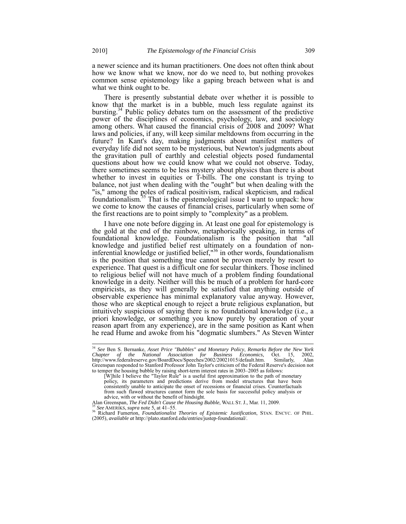a newer science and its human practitioners. One does not often think about how we know what we know, nor do we need to, but nothing provokes common sense epistemology like a gaping breach between what is and what we think ought to be.

There is presently substantial debate over whether it is possible to know that the market is in a bubble, much less regulate against its bursting.<sup>34</sup> Public policy debates turn on the assessment of the predictive power of the disciplines of economics, psychology, law, and sociology among others. What caused the financial crisis of 2008 and 2009? What laws and policies, if any, will keep similar meltdowns from occurring in the future? In Kant's day, making judgments about manifest matters of everyday life did not seem to be mysterious, but Newton's judgments about the gravitation pull of earthly and celestial objects posed fundamental questions about how we could know what we could not observe. Today, there sometimes seems to be less mystery about physics than there is about whether to invest in equities or T-bills. The one constant is trying to balance, not just when dealing with the "ought" but when dealing with the "is," among the poles of radical positivism, radical skepticism, and radical foundationalism.<sup>35</sup> That is the epistemological issue I want to unpack: how we come to know the causes of financial crises, particularly when some of the first reactions are to point simply to "complexity" as a problem.

I have one note before digging in. At least one goal for epistemology is the gold at the end of the rainbow, metaphorically speaking, in terms of foundational knowledge. Foundationalism is the position that "all knowledge and justified belief rest ultimately on a foundation of noninferential knowledge or justified belief, $\frac{136}{120}$  in other words, foundationalism is the position that something true cannot be proven merely by resort to experience. That quest is a difficult one for secular thinkers. Those inclined to religious belief will not have much of a problem finding foundational knowledge in a deity. Neither will this be much of a problem for hard-core empiricists, as they will generally be satisfied that anything outside of observable experience has minimal explanatory value anyway. However, those who are skeptical enough to reject a brute religious explanation, but intuitively suspicious of saying there is no foundational knowledge (i.e., a priori knowledge, or something you know purely by operation of your reason apart from any experience), are in the same position as Kant when he read Hume and awoke from his "dogmatic slumbers." As Steven Winter

 $\overline{a}$ 

<sup>34</sup> *See* Ben S. Bernanke, *Asset Price "Bubbles" and Monetary Policy*, *Remarks Before the New York Chapter of the National Association for Business Economics,* Oct. 15, 2002, http://www.federalreserve.gov/BoardDocs/Speeches/2002/20021015/default.htm. Similarly, Alan Greenspan responded to Stanford Professor John Taylor's criticism of the Federal Reserve's decision not

to temper the housing bubble by raising short-term interest rates in 2003–2005 as follows: [W]hile I believe the "Taylor Rule" is a useful first approximation to the path of monetary policy, its parameters and predictions derive from model structures that have been consistently unable to anticipate the onset of recessions or financial crises. Counterfactuals from such flawed structures cannot form the sole basis for successful policy analysis or advice, with or without the benefit of hindsight.<br>Alan Greenspan, *The Fed Didn't Cause the Housing Bubble*, WALL ST. J., Mar. 11, 2009.

<sup>&</sup>lt;sup>35</sup> See AMERIKS, *supra* note 5, at 41–55.<br><sup>36</sup> Richard Fumerton, *Foundationalist Theories of Epistemic Justification*, STAN. ENCYC. OF PHIL. (2005), *available at* http://plato.stanford.edu/entries/justep-foundational/.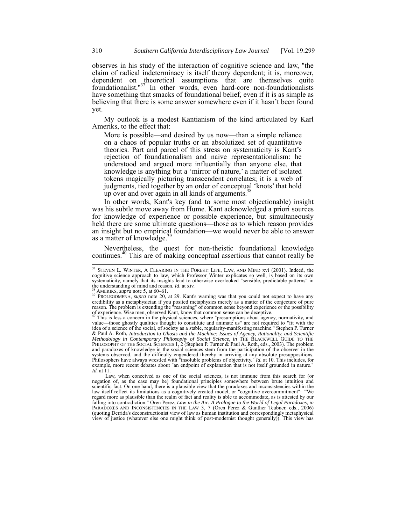observes in his study of the interaction of cognitive science and law, "the claim of radical indeterminacy is itself theory dependent; it is, moreover, dependent on theoretical assumptions that are themselves quite foundationalist." $37$  In other words, even hard-core non-foundationalists have something that smacks of foundational belief, even if it is as simple as believing that there is some answer somewhere even if it hasn't been found yet.

My outlook is a modest Kantianism of the kind articulated by Karl Ameriks, to the effect that:

More is possible—and desired by us now—than a simple reliance on a chaos of popular truths or an absolutized set of quantitative theories. Part and parcel of this stress on systematicity is Kant's rejection of foundationalism and naive representationalism: he understood and argued more influentially than anyone else, that knowledge is anything but a 'mirror of nature,' a matter of isolated tokens magically picturing transcendent correlates; it is a web of judgments, tied together by an order of conceptual 'knots' that hold up over and over again in all kinds of arguments.<sup>38</sup>

In other words, Kant's key (and to some most objectionable) insight was his subtle move away from Hume. Kant acknowledged a priori sources for knowledge of experience or possible experience, but simultaneously held there are some ultimate questions—those as to which reason provides an insight but no empirical foundation—we would never be able to answer as a matter of knowledge.<sup>3</sup>

Nevertheless, the quest for non-theistic foundational knowledge continues.40 This are of making conceptual assertions that cannot really be

 $\overline{a}$ 

 $37$  STEVEN L. WINTER, A CLEARING IN THE FOREST: LIFE, LAW, AND MIND xvi (2001). Indeed, the cognitive science approach to law, which Professor Winter explicates so well, is based on its own systematicity, namely that its insights lead to otherwise overlooked "sensible, predictable patterns" in the understanding of mind and reason. *Id.* at xiv.

<sup>&</sup>lt;sup>38</sup> AMERIKS, *supra* note 5, at 60–61. <br><sup>39</sup> PROLEGOMENA, *supra* note 20, at 29. Kant's warning was that you could not expect to have any credibility as a metaphysician if you posited metaphysics merely as a matter of the conjecture of pure reason. The problem is extending the "reasoning" of common sense beyond experience or the possibility of experience. Wise men, observed Kant, know that common sense can be deceptive.

 $40$  This is less a concern in the physical sciences, where "presumptions about agency, normativity, and value—those ghostly qualities thought to constitute and animate us" are not required to "fit with the idea of a science of the social, of society as a stable, regularity-manifesting machine." Stephen P. Turner & Paul A. Roth, *Introduction* to *Ghosts and the Machine: Issues of Agency, Rationality, and Scientific Methodology in Contemporary Philosophy of Social Science, in THE BLACKWELL GUIDE TO THE PHILOSOPHY OF THE SOCIAL SCIENCES 1, 2 (Stephen P. Turner & Paul A. Roth, eds., 2003). The problem* and paradoxes of knowledge in the social sciences stem from the participation of the observer in the systems observed, and the difficulty engendered thereby in arriving at any absolute presuppositions. Philosophers have always wrestled with "insoluble problems of objectivity." *Id.* at 10. This includes, for example, more recent debates about "an endpoint of explanation that is not itself grounded in nature." *Id.* at 11.

Law, when conceived as one of the social sciences, is not immune from this search for (or negation of, as the case may be) foundational principles somewhere between brute intuition and scientific fact. On one hand, there is a plausible view that the paradoxes and inconsistencies within the law itself reflect its limitations as a cognitively created model, or "cognitive overcommitment": "'We regard more as plausible than the realm of fact and reality is able to accommodate, as is attested by our falling into contradiction." Oren Perez, *Law in the Air: A Prologue to the World of Legal Paradoxes*, *in* PARADOXES AND INCONSISTENCIES IN THE LAW 3, 7 (Oren Perez & Gunther Teubner, eds., 2006) (quoting Derrida's deconstructionist view of law as human institution and correspondingly metaphysical view of justice (whatever else one might think of post-modernist thought generally)). This view has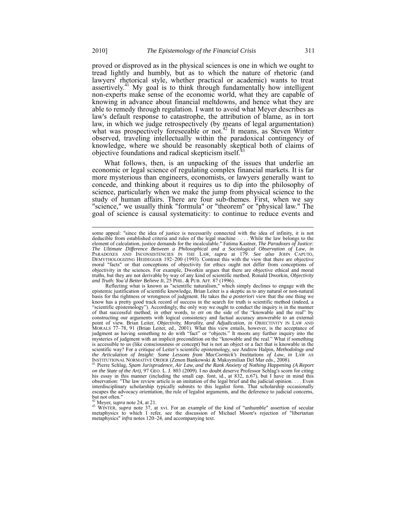proved or disproved as in the physical sciences is one in which we ought to tread lightly and humbly, but as to which the nature of rhetoric (and lawyers' rhetorical style, whether practical or academic) wants to treat assertively.<sup>41</sup> My goal is to think through fundamentally how intelligent non-experts make sense of the economic world, what they are capable of knowing in advance about financial meltdowns, and hence what they are able to remedy through regulation. I want to avoid what Meyer describes as law's default response to catastrophe, the attribution of blame, as in tort law, in which we judge retrospectively (by means of legal argumentation) what was prospectively foreseeable or not.<sup>42</sup> It means, as Steven Winter observed, traveling intellectually within the paradoxical contingency of knowledge, where we should be reasonably skeptical both of claims of objective foundations and radical skepticism itself.

What follows, then, is an unpacking of the issues that underlie an economic or legal science of regulating complex financial markets. It is far more mysterious than engineers, economists, or lawyers generally want to concede, and thinking about it requires us to dip into the philosophy of science, particularly when we make the jump from physical science to the study of human affairs. There are four sub-themes. First, when we say "science," we usually think "formula" or "theorem" or "physical law." The goal of science is causal systematicity: to continue to reduce events and

Reflecting what is known as "scientific naturalism," which simply declines to engage with the epistemic justification of scientific knowledge, Brian Leiter is a skeptic as to any natural or non-natural basis for the rightness or wrongness of judgment. He takes the *a posteriori* view that the one thing we know has a pretty good track record of success in the search for truth is scientific method (indeed, a "scientific epistemology"). Accordingly, the only way we ought to conduct the inquiry is in the manner of that successful method; in other words, to err on the side of the "knowable and the real" by constructing our arguments with logical consistency and factual accuracy answerable to an external point of view. Brian Leiter, *Objectivity, Morality, and Adjudication*, *in* OBJECTIVITY IN LAW AND MORALS 77–78, 91 (Brian Leiter, ed., 2001). What this view entails, however, is the acceptance of judgment as having something to do with "fact" or "objects." It moots any further inquiry into the mysteries of judgment with an implicit precondition on the "knowable and the real." What if something is accessible to us (like consciousness or concept) but is not an object or a fact that is knowable in the scientific way? For a critique of Leiter's scientific epistemology, see Andrew Halpin, *Methodology and*  the Articulation of Insight: Some Lessons from MacCormick's Institutions of Law, in LAW AS<br>INSTITUTIONAL NORMATIVE ORDER (Zenon Bankowski & Maksymilian Del Mar eds., 2008).<br><sup>41</sup> Pierre Schlag, Spam Jurisprudence, Air Law,

*on the State of the Art*), 97 GEO. L. J. 803 (2009). I no doubt deserve Professor Schlag's scorn for citing his essay in this manner (including the small cap. font, id., at 832, n.67), but I have in mind this observation: "The law review article is an imitation of the legal brief and the judicial opinion. . . . Even interdisciplinary scholarship typically submits to this legalist form. That scholarship occasionally escapes the advocacy orientation, the rule of legalist arguments, and the deference to judicial concerns, but not often."

<sup>42</sup> Meyer, *supra* note 24, at 21.<br><sup>43</sup> WINTER, *supra* note 37, at xvi. For an example of the kind of "unhumble" assertion of secular metaphysics to which I refer, see the discussion of Michael Moore's rejection of "libertarian metaphysics" *infra* notes 120–24, and accompanying text.

l some appeal: "since the idea of justice is necessarily connected with the idea of infinity, it is not deducible from established criteria and rules of the legal machine . . . . While the law belongs to the element of calculation, justice demands for the incalculable." Fatima Kastner, *The Paradoxes of Justice: The Ultimate Difference Between a Philosophical and a Sociological Observation of Law*, *in* PARADOXES AND INCONSISTENCIES IN THE LAW, *supra* at 179. *See also* JOHN CAPUTO, DEMYTHOLOGIZING HEIDEGGER 192–200 (1993). Contrast this with the view that there are objective moral "facts" or that conceptions of objectivity for ethics ought not differ from conceptions of objectivity in the sciences. For example, Dworkin argues that there are objective ethical and moral truths, but they are not derivable by way of any kind of scientific method. Ronald Dworkin, *Objectivity and Truth: You'd Better Believe It*, 25 PHIL. & PUB. AFF. 87 (1996).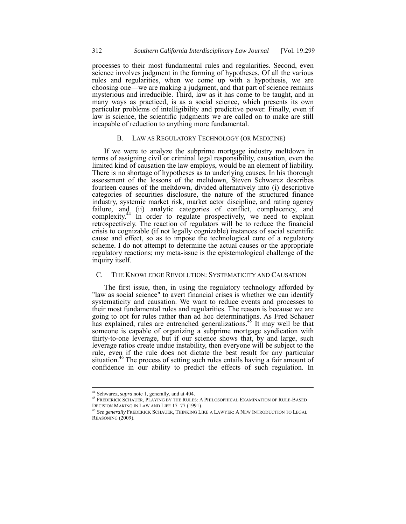processes to their most fundamental rules and regularities. Second, even science involves judgment in the forming of hypotheses. Of all the various rules and regularities, when we come up with a hypothesis, we are choosing one—we are making a judgment, and that part of science remains mysterious and irreducible. Third, law as it has come to be taught, and in many ways as practiced, is as a social science, which presents its own particular problems of intelligibility and predictive power. Finally, even if law is science, the scientific judgments we are called on to make are still incapable of reduction to anything more fundamental.

# B. LAW AS REGULATORY TECHNOLOGY (OR MEDICINE)

If we were to analyze the subprime mortgage industry meltdown in terms of assigning civil or criminal legal responsibility, causation, even the limited kind of causation the law employs, would be an element of liability. There is no shortage of hypotheses as to underlying causes. In his thorough assessment of the lessons of the meltdown, Steven Schwarcz describes fourteen causes of the meltdown, divided alternatively into (i) descriptive categories of securities disclosure, the nature of the structured finance industry, systemic market risk, market actor discipline, and rating agency failure, and (ii) analytic categories of conflict, complacency, and complexity. $44 \text{ In order to regulate prospectively, we need to explain}$ retrospectively. The reaction of regulators will be to reduce the financial crisis to cognizable (if not legally cognizable) instances of social scientific cause and effect, so as to impose the technological cure of a regulatory scheme. I do not attempt to determine the actual causes or the appropriate regulatory reactions; my meta-issue is the epistemological challenge of the inquiry itself.

# C. THE KNOWLEDGE REVOLUTION: SYSTEMATICITY AND CAUSATION

The first issue, then, in using the regulatory technology afforded by "law as social science" to avert financial crises is whether we can identify systematicity and causation. We want to reduce events and processes to their most fundamental rules and regularities. The reason is because we are going to opt for rules rather than ad hoc determinations. As Fred Schauer has explained, rules are entrenched generalizations.<sup>45</sup> It may well be that someone is capable of organizing a subprime mortgage syndication with thirty-to-one leverage, but if our science shows that, by and large, such leverage ratios create undue instability, then everyone will be subject to the rule, even if the rule does not dictate the best result for any particular situation.<sup>46</sup> The process of setting such rules entails having a fair amount of confidence in our ability to predict the effects of such regulation. In

<sup>44</sup> Schwarcz, *supra* note 1, generally, and at 404.

<sup>45</sup> FREDERICK SCHAUER, PLAYING BY THE RULES: A PHILOSOPHICAL EXAMINATION OF RULE-BASED DECISION MAKING IN LAW AND LIFE 17–77 (1991).

<sup>46</sup> *See generally* FREDERICK SCHAUER, THINKING LIKE A LAWYER: A NEW INTRODUCTION TO LEGAL REASONING (2009).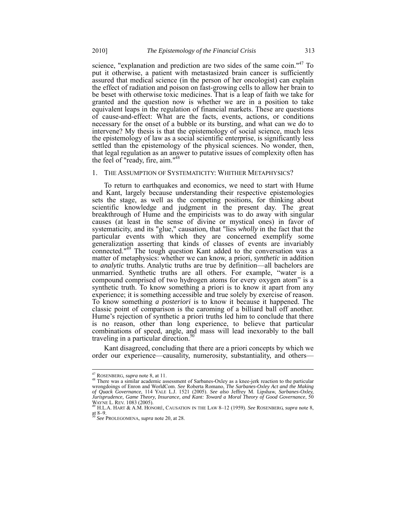science, "explanation and prediction are two sides of the same coin."<sup>47</sup> To put it otherwise, a patient with metastasized brain cancer is sufficiently assured that medical science (in the person of her oncologist) can explain the effect of radiation and poison on fast-growing cells to allow her brain to be beset with otherwise toxic medicines. That is a leap of faith we take for granted and the question now is whether we are in a position to take equivalent leaps in the regulation of financial markets. These are questions of cause-and-effect: What are the facts, events, actions, or conditions necessary for the onset of a bubble or its bursting, and what can we do to intervene? My thesis is that the epistemology of social science, much less the epistemology of law as a social scientific enterprise, is significantly less settled than the epistemology of the physical sciences. No wonder, then, that legal regulation as an answer to putative issues of complexity often has the feel of "ready, fire, aim."48

#### 1. THE ASSUMPTION OF SYSTEMATICITY: WHITHER METAPHYSICS?

To return to earthquakes and economics, we need to start with Hume and Kant, largely because understanding their respective epistemologies sets the stage, as well as the competing positions, for thinking about scientific knowledge and judgment in the present day. The great breakthrough of Hume and the empiricists was to do away with singular causes (at least in the sense of divine or mystical ones) in favor of systematicity, and its "glue," causation, that "lies *wholly* in the fact that the particular events with which they are concerned exemplify some generalization asserting that kinds of classes of events are invariably connected."<sup>49</sup> The tough question Kant added to the conversation was a matter of metaphysics: whether we can know, a priori, *synthetic* in addition to *analytic* truths. Analytic truths are true by definition—all bachelors are unmarried. Synthetic truths are all others. For example, "water is a compound comprised of two hydrogen atoms for every oxygen atom" is a synthetic truth. To know something a priori is to know it apart from any experience; it is something accessible and true solely by exercise of reason. To know something *a posteriori* is to know it because it happened. The classic point of comparison is the caroming of a billiard ball off another. Hume's rejection of synthetic a priori truths led him to conclude that there is no reason, other than long experience, to believe that particular combinations of speed, angle, and mass will lead inexorably to the ball traveling in a particular direction. $50$ 

Kant disagreed, concluding that there are a priori concepts by which we order our experience—causality, numerosity, substantiality, and others—

<sup>&</sup>lt;sup>47</sup> ROSENBERG, *supra* note 8, at 11.

<sup>&</sup>lt;sup>48</sup> There was a similar academic assessment of Sarbanes-Oxley as a knee-jerk reaction to the particular wrongdoings of Enron and WorldCom. *See* Roberta Romano, *The Sarbanes-Oxley Act and the Making of Quack Governance*, 114 YALE L.J. 1521 (2005). *See also* Jeffrey M. Lipshaw, *Sarbanes-Oxley, Jurisprudence, Game Theory, Insurance, and Kant: Toward a Moral Theory of Good Governance*, 50 WAYNE L. REV. 1083 (2005). <sup>49</sup> H.L.A. HART & A.M. HONORÉ, CAUSATION IN THE LAW 8–12 (1959). *See* ROSENBERG, *supra* note 8,

at  $8-9$ .

<sup>50</sup> *See* PROLEGOMENA, *supra* note 20, at 28.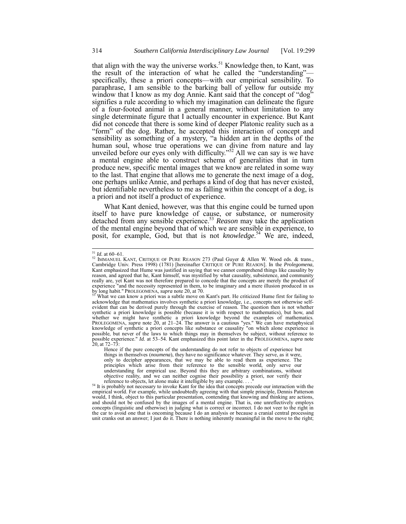that align with the way the universe works.<sup>51</sup> Knowledge then, to Kant, was the result of the interaction of what he called the "understanding" specifically, these a priori concepts—with our empirical sensibility. To paraphrase, I am sensible to the barking ball of yellow fur outside my window that I know as my dog Annie. Kant said that the concept of "dog" signifies a rule according to which my imagination can delineate the figure of a four-footed animal in a general manner, without limitation to any single determinate figure that I actually encounter in experience. But Kant did not concede that there is some kind of deeper Platonic reality such as a "form" of the dog. Rather, he accepted this interaction of concept and sensibility as something of a mystery, "a hidden art in the depths of the human soul, whose true operations we can divine from nature and lay unveiled before our eyes only with difficulty."<sup>52</sup> All we can say is we have a mental engine able to construct schema of generalities that in turn produce new, specific mental images that we know are related in some way to the last. That engine that allows me to generate the next image of a dog, one perhaps unlike Annie, and perhaps a kind of dog that has never existed, but identifiable nevertheless to me as falling within the concept of a dog, is a priori and not itself a product of experience.

What Kant denied, however, was that this engine could be turned upon itself to have pure knowledge of cause, or substance, or numerosity detached from any sensible experience.53 *Reason* may take the application of the mental engine beyond that of which we are sensible in experience, to posit, for example, God, but that is not *knowledge*. <sup>54</sup> We are, indeed,

 $^{\rm 51}$   $Id.$  at 60–61.

<sup>&</sup>lt;sup>51</sup> *Id.* at 60–61.<br><sup>52</sup> IMMANUEL KANT, CRITIQUE OF PURE REASON 273 (Paul Guyer & Allen W. Wood eds. & trans., Cambridge Univ. Press 1998) (1781) [hereinafter CRITIQUE OF PURE REASON]. In the *Prolegomena*, Kant emphasized that Hume was justified in saying that we cannot comprehend things like causality by reason, and agreed that he, Kant himself, was mystified by what causality, subsistence, and community really are, yet Kant was not therefore prepared to concede that the concepts are merely the product of experience "and the necessity represented in them, to be imaginary and a mere illusion produced in us by long habit." PROLEGOMENA, *supra* note 20, at 70. 53 what we can know a priori was a subtle move on Kant's part. He criticized Hume first for failing to <sup>53</sup> What we can know a priori was a subtle move on Kant's part. H

acknowledge that mathematics involves synthetic a priori knowledge, i.e., concepts not otherwise selfevident that can be derived purely through the exercise of reason. The question then is not whether synthetic a priori knowledge is possible (because it is with respect to mathematics), but how, and whether we might have synthetic a priori knowledge beyond the examples of mathematics. PROLEGOMENA, *supra* note 20, at 21–24. The answer is a cautious "yes." We can have metaphysical knowledge of synthetic a priori concepts like substance or causality "on which alone experience is possible, but never of the laws to which things may in themselves be subject, without reference to possible experience." *Id.* at 53–54. Kant emphasized this point later in the PROLEGOMENA, *supra* note 20*,* at 72–73:

Hence if the pure concepts of the understanding do not refer to objects of experience but things in themselves (*noumena*), they have no significance whatever. They serve, as it were, only to decipher appearances, that we may be able to read them as experience. The principles which arise from their reference to the sensible world, only serve our understanding for empirical use. Beyond this they are arbitrary combinations, without objective reality, and we can neither cognise their possibility a priori, nor verify their

reference to objects, let alone make it intelligible by any example. . . ."<br><sup>54</sup> It is probably not necessary to invoke Kant for the idea that concepts precede our interaction with the empirical world. For example, while undoubtedly agreeing with that simple principle, Dennis Patterson would, I think, object to this particular presentation, contending that knowing and thinking are actions, and should not be confused by the images of a mental engine. That is, one unreflectively employs concepts (linguistic and otherwise) in judging what is correct or incorrect. I do not veer to the right in the car to avoid one that is oncoming because I do an analysis or because a cranial central processing unit cranks out an answer; I just do it. There is nothing inherently meaningful in the move to the right;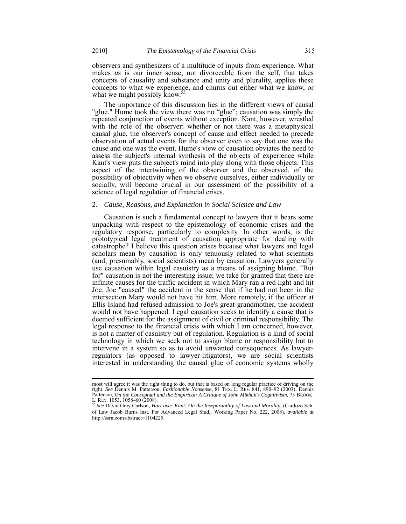observers and synthesizers of a multitude of inputs from experience. What makes *us* is our inner sense, not divorceable from the self, that takes concepts of causality and substance and unity and plurality, applies these concepts to what we experience, and churns out either what we know, or what we might possibly  $\text{know.}^5$ 

The importance of this discussion lies in the different views of causal "glue." Hume took the view there was no "glue"; causation was simply the repeated conjunction of events without exception. Kant, however, wrestled with the role of the observer: whether or not there was a metaphysical causal glue, the observer's concept of cause and effect needed to precede observation of actual events for the observer even to say that one was the cause and one was the event. Hume's view of causation obviates the need to assess the subject's internal synthesis of the objects of experience while Kant's view puts the subject's mind into play along with those objects. This aspect of the intertwining of the observer and the observed, of the possibility of objectivity when we observe ourselves, either individually or socially, will become crucial in our assessment of the possibility of a science of legal regulation of financial crises.

#### 2. *Cause, Reasons, and Explanation in Social Science and Law*

Causation is such a fundamental concept to lawyers that it bears some unpacking with respect to the epistemology of economic crises and the regulatory response, particularly to complexity. In other words, is the prototypical legal treatment of causation appropriate for dealing with catastrophe? I believe this question arises because what lawyers and legal scholars mean by causation is only tenuously related to what scientists (and, presumably, social scientists) mean by causation. Lawyers generally use causation within legal casuistry as a means of assigning blame. "But for" causation is not the interesting issue; we take for granted that there are infinite causes for the traffic accident in which Mary ran a red light and hit Joe. Joe "caused" the accident in the sense that if he had not been in the intersection Mary would not have hit him. More remotely, if the officer at Ellis Island had refused admission to Joe's great-grandmother, the accident would not have happened. Legal causation seeks to identify a cause that is deemed sufficient for the assignment of civil or criminal responsibility. The legal response to the financial crisis with which I am concerned, however, is not a matter of casuistry but of regulation. Regulation is a kind of social technology in which we seek not to assign blame or responsibility but to intervene in a system so as to avoid unwanted consequences. As lawyerregulators (as opposed to lawyer-litigators), we are social scientists interested in understanding the causal glue of economic systems wholly

most will agree it was the right thing to do, but that is based on long regular practice of driving on the right. *See* Dennis M. Patterson, *Fashionable Nonsense*, 81 TEX. L. REV. 841, 890–92 (2003); Dennis Patterson*, On the Conceptual and the Empirical: A Critique of John Mikhail's Cognitivism,* 73 BROOK. L. REV. 1053, 1058–60 (2008). <sup>55</sup> *See* David Gray Carlson, *Hart avec Kant: On the Inseparability of Law and Morality*, (Cardozo Sch.

of Law Jacob Burns Inst. For Advanced Legal Stud., Working Paper No. 222, 2008), *available at*  http://ssrn.com/abstract=1104225.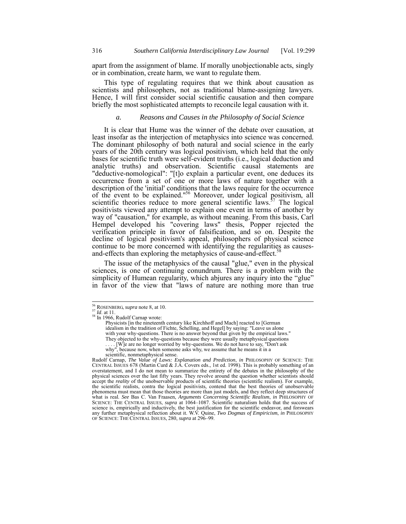apart from the assignment of blame. If morally unobjectionable acts, singly or in combination, create harm, we want to regulate them.

This type of regulating requires that we think about causation as scientists and philosophers, not as traditional blame-assigning lawyers. Hence, I will first consider social scientific causation and then compare briefly the most sophisticated attempts to reconcile legal causation with it.

# *a. Reasons and Causes in the Philosophy of Social Science*

It is clear that Hume was the winner of the debate over causation, at least insofar as the interjection of metaphysics into science was concerned. The dominant philosophy of both natural and social science in the early years of the 20th century was logical positivism, which held that the only bases for scientific truth were self-evident truths (i.e., logical deduction and analytic truths) and observation. Scientific causal statements are "deductive-nomological": "[t]o explain a particular event, one deduces its occurrence from a set of one or more laws of nature together with a description of the 'initial' conditions that the laws require for the occurrence of the event to be explained."<sup>56</sup> Moreover, under logical positivism, all scientific theories reduce to more general scientific laws.<sup>57</sup> The logical positivists viewed any attempt to explain one event in terms of another by way of "causation," for example, as without meaning. From this basis, Carl Hempel developed his "covering laws" thesis, Popper rejected the verification principle in favor of falsification, and so on. Despite the decline of logical positivism's appeal, philosophers of physical science continue to be more concerned with identifying the regularities as causesand-effects than exploring the metaphysics of cause-and-effect.<sup>5</sup>

The issue of the metaphysics of the causal "glue," even in the physical sciences, is one of continuing conundrum. There is a problem with the simplicity of Humean regularity, which abjures any inquiry into the "glue" in favor of the view that "laws of nature are nothing more than true

l

Rudolf Carnap, *The Value of Laws: Explanation and Prediction*, *in* PHILOSOPHY OF SCIENCE: THE CENTRAL ISSUES 678 (Martin Curd  $\&$  J.A. Covers eds., 1st ed. 1998). This is probably something of an overstatement, and I do not mean to summarize the entirety of the debates in the philosophy of the physical sciences over the last fifty years. They revolve around the question whether scientists should accept the *reality* of the unobservable products of scientific theories (scientific realism). For example, the scientific realists, contra the logical positivists, contend that the best theories of unobservable phenomena must mean that those theories are more than just models, and they reflect deep structures of what is real. *See* Bas C. Van Fraasen, *Arguments Concerning Scientific Realism*, *in* PHILOSOPHY OF SCIENCE: THE CENTRAL ISSUES, *supra* at 1064–1087. Scientific naturalism holds that the success of science is, empirically and inductively, the best justification for the scientific endeavor, and forswears any further metaphysical reflection about it. W.V. Quine, *Two Dogmas of Empiricism*, *in* PHILOSOPHY OF SCIENCE: THE CENTRAL ISSUES, 280, *supra* at 296–99.

<sup>&</sup>lt;sup>56</sup> ROSENBERG, *supra* note 8, at 10.<br><sup>57</sup> *Id*. at 11.<br><sup>58</sup> In 1966, Rudolf Carnap wrote:

<sup>&</sup>lt;sup>58</sup> In 1966, Rudolf Carnap wrote:<br>
Physicists [in the nineteenth century like Kirchhoff and Mach] reacted to [German idealism in the tradition of Fichte, Schelling, and Hegel] by saying: "Leave us alone with your why-questions. There is no answer beyond that given by the empirical laws." They objected to the why-questions because they were usually metaphysical questions

<sup>. . . . [</sup>W]e are no longer worried by why-questions. We do not have to say, "Don't ask

why", because now, when someone asks why, we assume that he means it in a

scientific, nonmetaphysical sense.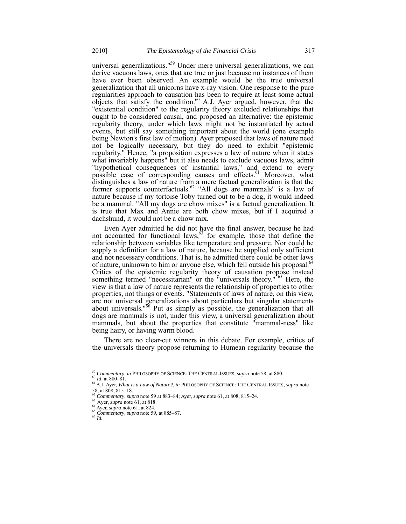universal generalizations."<sup>59</sup> Under mere universal generalizations, we can derive vacuous laws, ones that are true or just because no instances of them have ever been observed. An example would be the true universal generalization that all unicorns have x-ray vision. One response to the pure regularities approach to causation has been to require at least some actual objects that satisfy the condition.<sup>60</sup> A.J. Ayer argued, however, that the "existential condition" to the regularity theory excluded relationships that ought to be considered causal, and proposed an alternative: the epistemic regularity theory, under which laws might not be instantiated by actual events, but still say something important about the world (one example being Newton's first law of motion). Ayer proposed that laws of nature need not be logically necessary, but they do need to exhibit "epistemic regularity." Hence, "a proposition expresses a law of nature when it states what invariably happens" but it also needs to exclude vacuous laws, admit "hypothetical consequences of instantial laws," and extend to every possible case of corresponding causes and effects.<sup>61</sup> Moreover, what distinguishes a law of nature from a mere factual generalization is that the former supports counterfactuals.<sup>62</sup> "All dogs are mammals" is a law of nature because if my tortoise Toby turned out to be a dog, it would indeed be a mammal. "All my dogs are chow mixes" is a factual generalization. It is true that Max and Annie are both chow mixes, but if I acquired a dachshund, it would not be a chow mix.

Even Ayer admitted he did not have the final answer, because he had not accounted for functional laws,<sup>63</sup> for example, those that define the relationship between variables like temperature and pressure. Nor could he supply a definition for a law of nature, because he supplied only sufficient and not necessary conditions. That is, he admitted there could be other laws of nature, unknown to him or anyone else, which fell outside his proposal.<sup>64</sup> Critics of the epistemic regularity theory of causation propose instead something termed "necessitarian" or the "universals theory."<sup>65</sup> Here, the view is that a law of nature represents the relationship of properties to other properties, not things or events. "Statements of laws of nature, on this view, are not universal generalizations about particulars but singular statements about universals."<sup>66</sup> Put as simply as possible, the generalization that all dogs are mammals is not, under this view, a universal generalization about mammals, but about the properties that constitute "mammal-ness" like being hairy, or having warm blood.

There are no clear-cut winners in this debate. For example, critics of the universals theory propose returning to Humean regularity because the

<sup>&</sup>lt;sup>59</sup> Commentary, in PHILOSOPHY OF SCIENCE: THE CENTRAL ISSUES, supra note 58, at 880.

<sup>&</sup>lt;sup>60</sup> *Id.* at 880–81.<br><sup>61</sup> A.J. Ayer, *What is a Law of Nature?*, *in* PHILOSOPHY OF SCIENCE: THE CENTRAL ISSUES, *supra* note 58, at 808, 815–18.<br>
<sup>62</sup> Commentary, supra note 59 at 883–84; Ayer, supra note 61, at 808, 815–24.

<sup>&</sup>lt;sup>63</sup> Ayer, *supra* note 61, at 818.<br>
<sup>64</sup> Ayer, *supra* note 61, at 824.<br>
<sup>65</sup> Commentary, *supra* note 59, at 885–87.<br>
<sup>66</sup> Id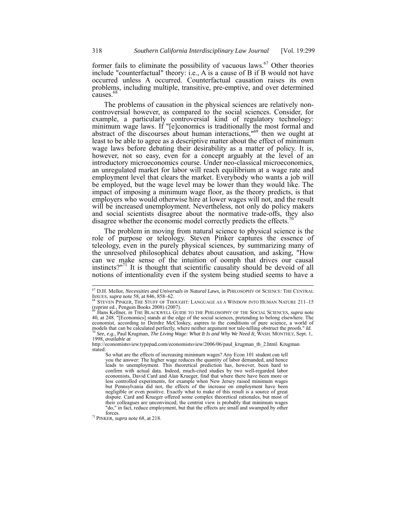former fails to eliminate the possibility of vacuous laws.<sup>67</sup> Other theories include "counterfactual" theory: i.e., A is a cause of B if B would not have occurred unless A occurred. Counterfactual causation raises its own problems, including multiple, transitive, pre-emptive, and over determined  $causes<sup>6</sup>$ 

The problems of causation in the physical sciences are relatively noncontroversial however, as compared to the social sciences. Consider, for example, a particularly controversial kind of regulatory technology: minimum wage laws. If "[e]conomics is traditionally the most formal and abstract of the discourses about human interactions,<sup>"69</sup> then we ought at least to be able to agree as a descriptive matter about the effect of minimum wage laws before debating their desirability as a matter of policy. It is, however, not so easy, even for a concept arguably at the level of an introductory microeconomics course. Under neo-classical microeconomics, an unregulated market for labor will reach equilibrium at a wage rate and employment level that clears the market. Everybody who wants a job will be employed, but the wage level may be lower than they would like. The impact of imposing a minimum wage floor, as the theory predicts, is that employers who would otherwise hire at lower wages will not, and the result will be increased unemployment. Nevertheless, not only do policy makers and social scientists disagree about the normative trade-offs, they also disagree whether the economic model correctly predicts the effects.<sup>7</sup>

The problem in moving from natural science to physical science is the role of purpose or teleology. Steven Pinker captures the essence of teleology, even in the purely physical sciences, by summarizing many of the unresolved philosophical debates about causation, and asking, "How can we make sense of the intuition of oomph that drives our causal instincts? $171$ <sup>1</sup> It is thought that scientific causality should be devoid of all notions of intentionality even if the system being studied seems to have a

<sup>71</sup> PINKER, *supra* note 68, at 218.

<sup>67</sup> D.H. Mellor, *Necessities and Universals in Natural Laws*, in PHILOSOPHY OF SCIENCE: THE CENTRAL ISSUES, *supra* note 58, at 846, 858–62. **68 STEVEN PINKER, THE STUFF OF THOUGHT:** LANGUAGE AS A WINDOW INTO HUMAN NATURE 211–15<sup>68</sup> STEVEN PINKER, THE STUFF OF THOUGHT: LANGUAGE AS A WINDOW INTO HUMAN NATURE 211–15

<sup>(</sup>reprint ed., Penguin Books 2008) (2007). <sup>69</sup> Hans Kellner, *in* THE BLACKWELL GUIDE TO THE PHILOSOPHY OF THE SOCIAL SCIENCES, *supra* note

<sup>40,</sup> at 248. "[Economics] stands at the edge of the social sciences, pretending to belong elsewhere. The economist, according to Deirdre McCloskey, aspires to the conditions of pure science, a world of cooling obstruct the proofs." Id.<br>
The calculated perfectly, where neither argument nor tale-telling obstruct the proofs." Id.<br>
<sup>70</sup> See, e.g., Paul Krugman, *The Living Wage: What It Is and Why We Need It*, WASH. MONTHLY 1998, *available at*

http://economistsview.typepad.com/economistsview/2006/06/paul\_krugman\_th\_2.html. Krugman stated:

So what are the effects of increasing minimum wages? Any Econ 101 student can tell you the answer: The higher wage reduces the quantity of labor demanded, and hence leads to unemployment. This theoretical prediction has, however, been hard to confirm with actual data. Indeed, much-cited studies by two well-regarded labor economists, David Card and Alan Krueger, find that where there have been more or less controlled experiments, for example when New Jersey raised minimum wages but Pennsylvania did not, the effects of the increase on employment have been negligible or even positive. Exactly what to make of this result is a source of great dispute. Card and Krueger offered some complex theoretical rationales, but most of their colleagues are unconvinced; the centrist view is probably that minimum wages "do," in fact, reduce employment, but that the effects are small and swamped by other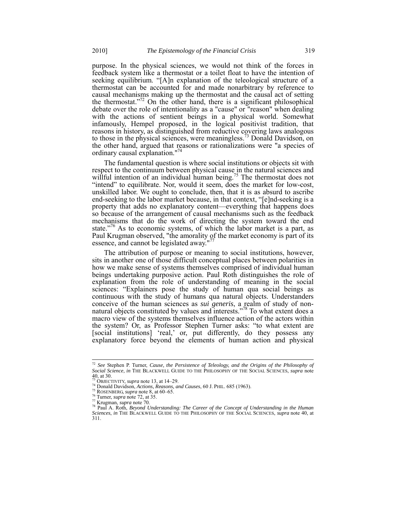purpose. In the physical sciences, we would not think of the forces in feedback system like a thermostat or a toilet float to have the intention of seeking equilibrium. "[A]n explanation of the teleological structure of a thermostat can be accounted for and made nonarbitrary by reference to causal mechanisms making up the thermostat and the causal act of setting the thermostat."<sup>72</sup> On the other hand, there is a significant philosophical debate over the role of intentionality as a "cause" or "reason" when dealing with the actions of sentient beings in a physical world. Somewhat infamously, Hempel proposed, in the logical positivist tradition, that reasons in history, as distinguished from reductive covering laws analogous to those in the physical sciences, were meaningless.73 Donald Davidson, on the other hand, argued that reasons or rationalizations were "a species of ordinary causal explanation."<sup>74</sup>

The fundamental question is where social institutions or objects sit with respect to the continuum between physical cause in the natural sciences and willful intention of an individual human being.<sup>75</sup> The thermostat does not "intend" to equilibrate. Nor, would it seem, does the market for low-cost, unskilled labor. We ought to conclude, then, that it is as absurd to ascribe end-seeking to the labor market because, in that context, "[e]nd-seeking is a property that adds no explanatory content—everything that happens does so because of the arrangement of causal mechanisms such as the feedback mechanisms that do the work of directing the system toward the end state."<sup>76</sup> As to economic systems, of which the labor market is a part, as Paul Krugman observed, "the amorality of the market economy is part of its essence, and cannot be legislated away."

The attribution of purpose or meaning to social institutions, however, sits in another one of those difficult conceptual places between polarities in how we make sense of systems themselves comprised of individual human beings undertaking purposive action. Paul Roth distinguishes the role of explanation from the role of understanding of meaning in the social sciences: "Explainers pose the study of human qua social beings as continuous with the study of humans qua natural objects. Understanders conceive of the human sciences as *sui generis*, a realm of study of nonnatural objects constituted by values and interests."<sup>78</sup> To what extent does a macro view of the systems themselves influence action of the actors within the system? Or, as Professor Stephen Turner asks: "to what extent are [social institutions] 'real,' or, put differently, do they possess any explanatory force beyond the elements of human action and physical

 $\overline{a}$ 

<sup>72</sup> *See* Stephen P. Turner, *Cause, the Persistence of Teleology, and the Origins of the Philosophy of Social Science*, *in* THE BLACKWELL GUIDE TO THE PHILOSOPHY OF THE SOCIAL SCIENCES, *supra* note

<sup>40,</sup> at 30.<br> $^{73}$  OBJECTIVITY, *supra* note 13, at 14–29.

<sup>&</sup>lt;sup>73</sup> OBJECTIVITY, *supra* note 13, at 14–29.<br><sup>74</sup> Donald Davidson, *Actions, Reasons, and Causes*, 60 J. PHIL. 685 (1963).<br><sup>76</sup> Turner, *supra* note 72, at 35.<br><sup>76</sup> Turner, *supra* note 72, at 35.<br><sup>77</sup> Krugman, *supra* not *Sciences*, *in* THE BLACKWELL GUIDE TO THE PHILOSOPHY OF THE SOCIAL SCIENCES, *supra* note 40, at 311.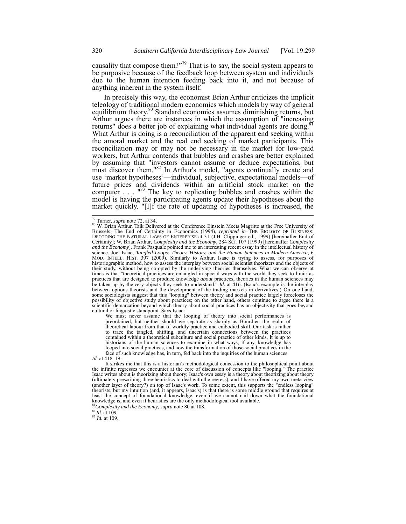causality that compose them?"<sup>79</sup> That is to say, the social system appears to be purposive because of the feedback loop between system and individuals due to the human intention feeding back into it, and not because of anything inherent in the system itself.

In precisely this way, the economist Brian Arthur criticizes the implicit teleology of traditional modern economics which models by way of general equilibrium theory.<sup>80</sup> Standard economics assumes diminishing returns, but Arthur argues there are instances in which the assumption of "increasing returns" does a better job of explaining what individual agents are doing.<sup>8</sup> What Arthur is doing is a reconciliation of the apparent end seeking within the amoral market and the real end seeking of market participants. This reconciliation may or may not be necessary in the market for low-paid workers, but Arthur contends that bubbles and crashes are better explained by assuming that "investors cannot assume or deduce expectations, but must discover them."<sup>82</sup> In Arthur's model, "agents continually create and use 'market hypotheses'—individual, subjective, expectational models—of future prices and dividends within an artificial stock market on the computer  $\ldots$  "83 The key to replicating bubbles and crashes within the model is having the participating agents update their hypotheses about the market quickly. "[I]f the rate of updating of hypotheses is increased, the

l

We must never assume that the looping of theory into social performances is preordained, but neither should we separate as sharply as Bourdieu the realm of theoretical labour from that of worldly practice and embodied skill. Our task is rather to trace the tangled, shifting, and uncertain connections between the practices contained within a theoretical subculture and social practice of other kinds. It is up to historians of the human sciences to examine in what ways, if any, knowledge has looped into social practices, and how the transformation of those social practices in the face of such knowledge has, in turn, fed back into the inquiries of the human sciences.

<sup>&</sup>lt;sup>79</sup> Turner, *supra* note 72, at 34.<br><sup>80</sup> W. Brian Arthur, Talk Delivered at the Conference Einstein Meets Magritte at the Free University of Brussels: The End of Certainty in Economics (1994), *reprinted in* THE BIOLOGY OF BUSINESS: DECODING THE NATURAL LAWS OF ENTERPRISE at 31 (J.H. Clippinger ed., 1999) [hereinafter End of Certainty]; W. Brian Arthur*, Complexity and the Economy*, 284 SCI. 107 (1999) [hereinafter *Complexity and the Economy*]. Frank Pasquale pointed me to an interesting recent essay in the intellectual history of science. Joel Isaac, *Tangled Loops: Theory, History, and the Human Sciences in Modern America*, 6 MOD. INTELL. HIST. 397 (2009). Similarly to Arthur, Isaac is trying to assess, for purposes of historiographic method, how to assess the interplay between social scientist theorizers and the objects of their study, without being co-opted by the underlying theories themselves. What we can observe at times is that "theoretical practices are entangled in special ways with the world they seek to limit: as practices that are designed to produce knowledge *about* practices, theories in the human sciences may be taken up by the very objects they seek to understand." *Id.* at 416. (Isaac's example is the interplay between options theorists and the development of the trading markets in derivatives.) On one hand, some sociologists suggest that this "looping" between theory and social practice largely forecloses the possibility of objective study about practices; on the other hand, others continue to argue there is a scientific demarcation beyond which theory about social practices has an objectivity that goes beyond cultural or linguistic standpoint. Says Isaac:

*Id*. at 418–19.

It strikes me that this is a historian's methodological concession to the philosophical point about the infinite regresses we encounter at the core of discussion of concepts like "looping." The practice Isaac writes about is theorizing about theory; Isaac's own essay is a theory about theorizing about theory (ultimately prescribing three heuristics to deal with the regress), and I have offered my own meta-view (another layer of theory?) on top of Isaac's work. To some extent, this supports the "endless looping" theorists, but my intuition (and, it appears, Isaac's) is that there is some middle ground that requires at least the concept of foundational knowledge, even if we cannot nail down what the foundational knowledge is, and even if heuristics are the only methodological tool available.

<sup>81</sup>*Complexity and the Economy*, *supra* note 80 at 108. 82 *Id.* at 109. <sup>83</sup> *Id.* at 109.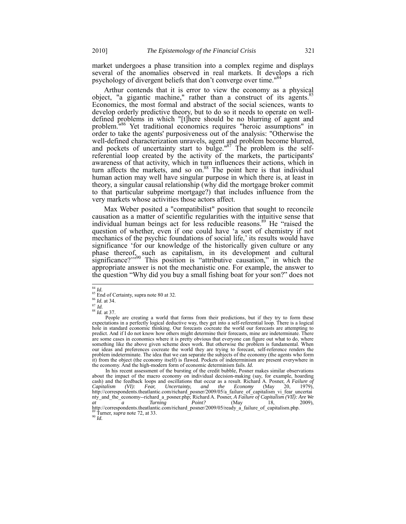market undergoes a phase transition into a complex regime and displays several of the anomalies observed in real markets. It develops a rich psychology of divergent beliefs that don't converge over time."<sup>84</sup>

Arthur contends that it is error to view the economy as a physical object, "a gigantic machine," rather than a construct of its agents.<sup>85</sup> Economics, the most formal and abstract of the social sciences, wants to develop orderly predictive theory, but to do so it needs to operate on welldefined problems in which "[t]here should be no blurring of agent and problem.<sup>"86</sup> Yet traditional economics requires "heroic assumptions" in order to take the agents' purposiveness out of the analysis: "Otherwise the well-defined characterization unravels, agent and problem become blurred, and pockets of uncertainty start to bulge." $87$  The problem is the selfreferential loop created by the activity of the markets, the participants' awareness of that activity, which in turn influences their actions, which in turn affects the markets, and so on.<sup>88</sup> The point here is that individual human action may well have singular purpose in which there is, at least in theory, a singular causal relationship (why did the mortgage broker commit to that particular subprime mortgage?) that includes influence from the very markets whose activities those actors affect.

Max Weber posited a "compatibilist" position that sought to reconcile causation as a matter of scientific regularities with the intuitive sense that individual human beings act for less reducible reasons.<sup>89</sup> He "raised the question of whether, even if one could have 'a sort of chemistry if not mechanics of the psychic foundations of social life,' its results would have significance 'for our knowledge of the historically given culture or any phase thereof, such as capitalism, in its development and cultural significance?"<sup>390</sup> This position is "attributive causation," in which the appropriate answer is not the mechanistic one. For example, the answer to the question "Why did you buy a small fishing boat for your son?" does not

In his recent assessment of the bursting of the credit bubble, Posner makes similar observations about the impact of the macro economy on individual decision-making (say, for example, hoarding cash) and the feedback loops and oscillations that occur as a result. Richard A. Posner, *A Failure of Capitalism (VI): Fear, Uncertainty, and the Economy* (May 20, 1979), http://correspondents.theatlantic.com/richard\_posner/2009/05/a\_failure\_of\_capitalism\_vi\_fear\_uncertai nty\_and\_the\_economy--richard\_a\_posner.php; Richard A. Posner, *A Failure of Capitalism (VII): Are We*  at a Turning Point? (May 18, 2009),<br>http://correspondents.theatlantic.com/richard\_posner/2009/05/ready\_a\_failure\_of\_capitalism.php.  $\frac{89}{90}$  Turner, *supra* note 72, at 33.

 $^{84}\,$  Id.

<sup>&</sup>lt;sup>85</sup> End of Certainty, supra note 80 at 32.<br><sup>86</sup> *Id.* at 34.<br><sup>87</sup> *Id.* 

<sup>87</sup> *Id.* <sup>88</sup> *Id.* at 37.

People are creating a world that forms from their predictions, but if they try to form these expectations in a perfectly logical deductive way, they get into a self-referential loop. There is a logical hole in standard economic thinking. Our forecasts cocreate the world our forecasts are attempting to predict. And if I do not know how others might determine their forecasts, mine are indeterminate. There are some cases in economics where it is pretty obvious that everyone can figure out what to do, where something like the above given scheme does work. But otherwise the problem is fundamental. When our ideas and preferences cocreate the world they are trying to forecast, self-reference renders the problem indeterminate. The idea that we can separate the subjects of the economy (the agents who form it) from the object (the economy itself) is flawed. Pockets of indeterminism are present everywhere in the economy. And the high-modern form of economic determinism fails. *Id.*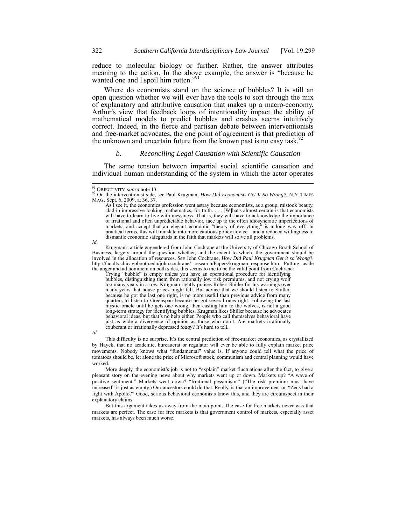reduce to molecular biology or further. Rather, the answer attributes meaning to the action. In the above example, the answer is "because he wanted one and I spoil him rotten."<sup>91</sup>

Where do economists stand on the science of bubbles? It is still an open question whether we will ever have the tools to sort through the mix of explanatory and attributive causation that makes up a macro-economy. Arthur's view that feedback loops of intentionality impact the ability of mathematical models to predict bubbles and crashes seems intuitively correct. Indeed, in the fierce and partisan debate between interventionists and free-market advocates, the one point of agreement is that prediction of the unknown and uncertain future from the known past is no easy task.<sup>92</sup>

#### *b. Reconciling Legal Causation with Scientific Causation*

The same tension between impartial social scientific causation and individual human understanding of the system in which the actor operates

*Id.*

Crying "bubble" is empty unless you have an operational procedure for identifying bubbles, distinguishing them from rationally low risk premiums, and not crying wolf too many years in a row. Krugman rightly praises Robert Shiller for his warnings over many years that house prices might fall. But advice that we should listen to Shiller, because he got the last one right, is no more useful than previous advice from many quarters to listen to Greenspan because he got several ones right. Following the last mystic oracle until he gets one wrong, then casting him to the wolves, is not a good long-term strategy for identifying bubbles. Krugman likes Shiller because he advocates behavioral ideas, but that's no help either. People who call themselves behavioral have just as wide a divergence of opinion as those who don't. Are markets irrationally exuberant or irrationally depressed *today*? It's hard to tell.

*Id.*

This difficulty is no surprise. It's the central prediction of free-market economics, as crystallized by Hayek, that no academic, bureaucrat or regulator will ever be able to fully explain market price movements. Nobody knows what "fundamental" value is. If anyone could tell what the price of tomatoes should be, let alone the price of Microsoft stock, communism and central planning would have worked.

More deeply, the economist's job is not to "explain" market fluctuations after the fact, to give a pleasant story on the evening news about why markets went up or down. Markets up? "A wave of positive sentiment." Markets went down? "Irrational pessimism." ("The risk premium must have increased" is just as empty.) Our ancestors could do that. Really, is that an improvement on "Zeus had a fight with Apollo?" Good, serious behavioral economists know this, and they are circumspect in their explanatory claims.

But this argument takes us away from the main point. The case for free markets never was that markets are perfect. The case for free markets is that government control of markets, especially asset markets, has always been much worse.

<sup>&</sup>lt;sup>91</sup> OBJECTIVITY, supra note 13.

<sup>91</sup> OBJECTIVITY, *supra* note 13. <sup>92</sup> On the interventionist side, see Paul Krugman, *How Did Economists Get It So Wrong?*, N.Y. TIMES MAG.. Sept. 6, 2009, at 36, 37.

As I see it, the economics profession went astray because economists, as a group, mistook beauty, clad in impressive-looking mathematics, for truth. . . . [W]hat's almost certain is that economists will have to learn to live with messiness. That is, they will have to acknowledge the importance of irrational and often unpredictable behavior, face up to the often idiosyncratic imperfections of markets, and accept that an elegant economic "theory of everything" is a long way off. In practical terms, this will translate into more cautious policy advice – and a reduced willingness to dismantle economic safeguards in the faith that markets will solve all problems.

Krugman's article engendered from John Cochrane at the University of Chicago Booth School of Business, largely around the question whether, and the extent to which, the government should be involved in the allocation of resources. *See* John Cochrane, *How Did Paul Krugman Get it so Wrong*?, http://faculty.chicagobooth.edu/john.cochrane/ research/Papers/krugman response.htm. Putting aside the anger and ad hominem on both sides, this seems to me to be the valid point from Cochrane: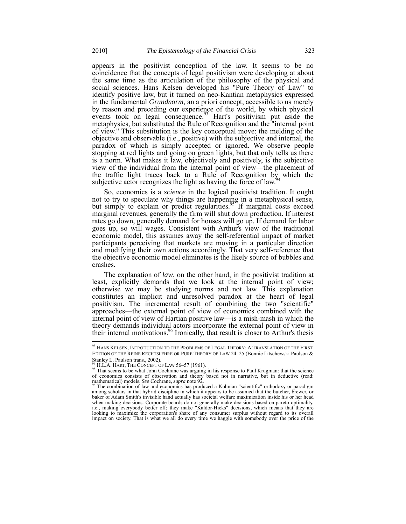appears in the positivist conception of the law. It seems to be no coincidence that the concepts of legal positivism were developing at about the same time as the articulation of the philosophy of the physical and social sciences. Hans Kelsen developed his "Pure Theory of Law" to identify positive law, but it turned on neo-Kantian metaphysics expressed in the fundamental *Grundnorm*, an a priori concept, accessible to us merely by reason and preceding our experience of the world, by which physical events took on legal consequence.<sup>93</sup> Hart's positivism put aside the metaphysics, but substituted the Rule of Recognition and the "internal point of view." This substitution is the key conceptual move: the melding of the objective and observable (i.e., positive) with the subjective and internal, the paradox of which is simply accepted or ignored. We observe people stopping at red lights and going on green lights, but that only tells us there is a norm. What makes it law, objectively and positively, is the subjective view of the individual from the internal point of view—the placement of the traffic light traces back to a Rule of Recognition by which the subjective actor recognizes the light as having the force of law.<sup>94</sup>

So, economics is a *science* in the logical positivist tradition. It ought not to try to speculate why things are happening in a metaphysical sense, but simply to explain or predict regularities.<sup>95</sup> If marginal costs exceed marginal revenues, generally the firm will shut down production. If interest rates go down, generally demand for houses will go up. If demand for labor goes up, so will wages. Consistent with Arthur's view of the traditional economic model, this assumes away the self-referential impact of market participants perceiving that markets are moving in a particular direction and modifying their own actions accordingly. That very self-reference that the objective economic model eliminates is the likely source of bubbles and crashes.

The explanation of *law*, on the other hand, in the positivist tradition at least, explicitly demands that we look at the internal point of view; otherwise we may be studying norms and not law. This explanation constitutes an implicit and unresolved paradox at the heart of legal positivism. The incremental result of combining the two "scientific" approaches—the external point of view of economics combined with the internal point of view of Hartian positive law—is a mish-mash in which the theory demands individual actors incorporate the external point of view in their internal motivations.<sup>96</sup> Ironically, that result is closer to Arthur's thesis l

<sup>&</sup>lt;sup>93</sup> HANS KELSEN, INTRODUCTION TO THE PROBLEMS OF LEGAL THEORY: A TRANSLATION OF THE FIRST EDITION OF THE REINE RECHTSLEHRE OR PURE THEORY OF LAW 24–25 (Bonnie Litschewski Paulson & Stanley L. Paulson trans., 2002).<br><sup>94</sup> H.L.A. HART. THE CONCEPT OF LAW 56–57 (1961).

<sup>&</sup>lt;sup>94</sup> H.L.A. HART, THE CONCEPT OF LAW 56–57 (1961).<br><sup>95</sup> That seems to be what John Cochrane was arguing in his response to Paul Krugman: that the science<br>of economics consists of observation and theory based not in narrati mathematical) models. *See* Cochrane, *supra* note 92. <sup>96</sup> The combination of law and economics has produced a Kuhnian "scientific" orthodoxy or paradigm

among scholars in that hybrid discipline in which it appears to be assumed that the butcher, brewer, or baker of Adam Smith's invisible hand actually has societal welfare maximization inside his or her head when making decisions. Corporate boards do not generally make decisions based on pareto-optimality, i.e., making everybody better off; they make "Kaldor-Hicks" decisions, which means that they are looking to maximize the corporation's share of any consumer surplus without regard to its overall impact on society. That is what we all do every time we haggle with somebody over the price of the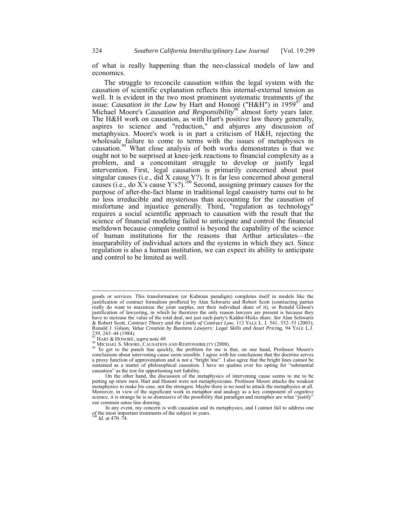of what is really happening than the neo-classical models of law and economics.

The struggle to reconcile causation within the legal system with the causation of scientific explanation reflects this internal-external tension as well. It is evident in the two most prominent systematic treatments of the issue: *Causation in the Law* by Hart and Honoré ("H&H") in 1959<sup>97</sup> and Michael Moore's *Causation and Responsibility*<sup>98</sup> almost forty years later. The H&H work on causation, as with Hart's positive law theory generally, aspires to science and "reduction," and abjures any discussion of metaphysics. Moore's work is in part a criticism of H&H, rejecting the wholesale failure to come to terms with the issues of metaphysics in causation.<sup>99</sup> What close analysis of both works demonstrates is that we ought not to be surprised at knee-jerk reactions to financial complexity as a problem, and a concomitant struggle to develop or justify legal intervention. First, legal causation is primarily concerned about past singular causes (i.e., did  $X$  cause  $Y$ ?). It is far less concerned about general causes (i.e., do  $\hat{X}$ 's cause Y's?).<sup>100</sup> Second, assigning primary causes for the purpose of after-the-fact blame in traditional legal casuistry turns out to be no less irreducible and mysterious than accounting for the causation of misfortune and injustice generally. Third, "regulation as technology" requires a social scientific approach to causation with the result that the science of financial modeling failed to anticipate and control the financial meltdown because complete control is beyond the capability of the science of human institutions for the reasons that Arthur articulates—the inseparability of individual actors and the systems in which they act. Since regulation is also a human institution, we can expect its ability to anticipate and control to be limited as well.

goods or services. This transformation (or Kuhnian paradigm) completes itself in models like the justification of contract formalism proffered by Alan Schwartz and Robert Scott (contracting parties really do want to maximize the joint surplus, not their individual share of it), or Ronald Gilson's justification of lawyering, in which he theorizes the only reason lawyers are present is because they have to increase the value of the total deal, not just each party's Kaldor-Hicks share. *See* Alan Schwartz & Robert Scott, *Contract Theory and the Limits of Contract Law*, 113 YALE L. J. 541, 552–53 (2003); Ronald J. Gilson, *Value Creation by Business Lawyers: Legal Skills and Asset Pricing*, 94 YALE L.J. 239, 243–44 (1984).<br><sup>97</sup> HART & HONORÉ, *supra* note 49.

<sup>98</sup> MICHAEL S. MOORE, CAUSATION AND RESPONSIBILITY (2008).<br><sup>99</sup> To get to the punch line quickly, the problem for me is that, on one hand, Professor Moore's<br><sup>99</sup> To get to the punch line quickly, the problem for me is that, conclusions about intervening cause seem sensible. I agree with his conclusions that the doctrine serves a proxy function of approximation and is not a "bright line". I also agree that the bright lines cannot be sustained as a matter of philosophical causation. I have no qualms over his opting for "substantial causation" as the test for apportioning tort liability. On the other hand, the discussion of the metaphysics of intervening cause seems to me to be

putting up straw men. Hart and Honoré were not metaphysicians. Professor Moore attacks the weakest metaphysics to make his case, not the strongest. Maybe there is no need to attack the metaphysics at all. Moreover, in view of the significant work in metaphor and analogy as a key component of cognitive science, it is strange he is so dismissive of the possibility that paradigm and metaphor are what "justify" our common sense line drawing.

In any event, my concern is with causation and its metaphysics, and I cannot fail to address one of the most important treatments of the subject in years. <sup>100</sup> *Id.* at 470–74.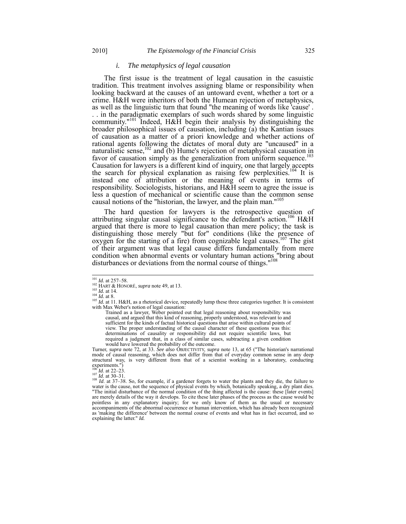## *i. The metaphysics of legal causation*

The first issue is the treatment of legal causation in the casuistic tradition. This treatment involves assigning blame or responsibility when looking backward at the causes of an untoward event, whether a tort or a crime. H&H were inheritors of both the Humean rejection of metaphysics, as well as the linguistic turn that found "the meaning of words like 'cause' . . . in the paradigmatic exemplars of such words shared by some linguistic community.<sup>"101</sup> Indeed,  $H\&H$  begin their analysis by distinguishing the broader philosophical issues of causation, including (a) the Kantian issues of causation as a matter of a priori knowledge and whether actions of rational agents following the dictates of moral duty are "uncaused" in a naturalistic sense,  $102$  and (b) Hume's rejection of metaphysical causation in favor of causation simply as the generalization from uniform sequence.<sup>103</sup> Causation for lawyers is a different kind of inquiry, one that largely accepts the search for physical explanation as raising few perplexities.<sup>104</sup> It is instead one of attribution or the meaning of events in terms of responsibility. Sociologists, historians, and H&H seem to agree the issue is less a question of mechanical or scientific cause than the common sense causal notions of the "historian, the lawyer, and the plain man."<sup>105</sup>

The hard question for lawyers is the retrospective question of attributing singular causal significance to the defendant's action.<sup>106</sup> H&H argued that there is more to legal causation than mere policy; the task is distinguishing those merely "but for" conditions (like the presence of oxygen for the starting of a fire) from cognizable legal causes.<sup>107</sup> The gist of their argument was that legal cause differs fundamentally from mere condition when abnormal events or voluntary human actions "bring about disturbances or deviations from the normal course of things."<sup>108</sup>

Trained as a lawyer, Weber pointed out that legal reasoning about responsibility was causal, and argued that this kind of reasoning, properly understood, was relevant to and sufficient for the kinds of factual historical questions that arise within cultural points of view. The proper understanding of the causal character of these questions was this: determinations of causality or responsibility did not require scientific laws, but required a judgment that, in a class of similar cases, subtracting a given condition would have lowered the probability of the outcome.

Turner, *supra* note 72, at 33. *See also* OBJECTIVITY, *supra* note 13, at 65 ("The historian's narrational mode of causal reasoning, which does not differ from that of everyday common sense in any deep structural way, is very different from that of a scientist working in a laboratory, conducting experiments.")<br> $^{106}$  *Id.* at 22–23.<br> $^{107}$  *Id.* at 30–31.

<sup>108</sup> *Id*. at 37–38. So, for example, if a gardener forgets to water the plants and they die, the failure to water is the cause, not the sequence of physical events by which, botanically speaking, a dry plant dies. "The initial disturbance of the normal condition of the thing affected is the cause: these [later events] are merely details of the way it develops. To cite these later phases of the process as the cause would be pointless in any explanatory inquiry; for we only know of them as the usual or necessary accompaniments of the abnormal occurrence or human intervention, which has already been recognized as 'making the difference' between the normal course of events and what has in fact occurred, and so explaining the latter." *Id.*

 $101$  *Id.* at 257-58.

<sup>&</sup>lt;sup>102</sup> HART & HONORÉ, *supra* note 49, at 13.<br>
<sup>103</sup> Id. at 14.<br>
<sup>103</sup> Id. at 14.<br>
<sup>104</sup> Id. at 8.<br>
<sup>105</sup> Id. at 11. H&H, as a rhetorical device, repeatedly lump these three categories together. It is consistent with Max Weber's notion of legal causation: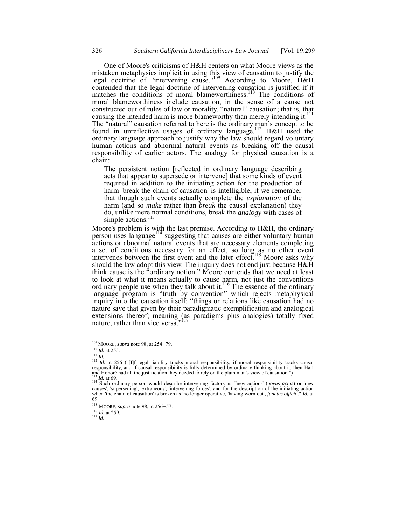One of Moore's criticisms of H&H centers on what Moore views as the mistaken metaphysics implicit in using this view of causation to justify the legal doctrine of "intervening cause."<sup>109</sup> According to Moore, H&H contended that the legal doctrine of intervening causation is justified if it matches the conditions of moral blameworthiness.<sup>110</sup> The conditions of moral blameworthiness include causation, in the sense of a cause not constructed out of rules of law or morality, "natural" causation; that is, that causing the intended harm is more blameworthy than merely intending it.<sup>111</sup> The "natural" causation referred to here is the ordinary man's concept to be found in unreflective usages of ordinary language.<sup>112</sup> H&H used the ordinary language approach to justify why the law should regard voluntary human actions and abnormal natural events as breaking off the causal responsibility of earlier actors. The analogy for physical causation is a chain:

The persistent notion [reflected in ordinary language describing acts that appear to supersede or intervene] that some kinds of event required in addition to the initiating action for the production of harm 'break the chain of causation' is intelligible, if we remember that though such events actually complete the *explanation* of the harm (and so *make* rather than *break* the causal explanation) they do, unlike mere normal conditions, break the *analogy* with cases of simple actions.<sup>113</sup>

Moore's problem is with the last premise. According to H&H, the ordinary person uses language<sup>114</sup> suggesting that causes are either voluntary human actions or abnormal natural events that are necessary elements completing a set of conditions necessary for an effect, so long as no other event intervenes between the first event and the later effect.<sup>115</sup> Moore asks why should the law adopt this view. The inquiry does not end just because H&H think cause is the "ordinary notion." Moore contends that we need at least to look at what it means actually to cause harm, not just the conventions ordinary people use when they talk about it.<sup>116</sup> The essence of the ordinary language program is "truth by convention" which rejects metaphysical inquiry into the causation itself: "things or relations like causation had no nature save that given by their paradigmatic exemplification and analogical extensions thereof; meaning (as paradigms plus analogies) totally fixed nature, rather than vice versa."

<sup>109</sup> MOORE, *supra* note 98, at 254–79.

 $\frac{110}{111}$  *Id.* at 255.

<sup>112</sup> *Id.* at 256 ("[I]f legal liability tracks moral responsibility, if moral responsibility tracks causal<br>1111 *Id.* at 256 ("[I]f legal liability tracks moral responsibility, if moral responsibility tracks causal responsibility, and if causal responsibility is fully determined by ordinary thinking about it, then Hart and Honoré had all the justification they needed to rely on the plain man's view of causation.")

<sup>113</sup> *Id.* at 69. 114 Such ordinary person would describe intervening factors as "'new actions' (*novus actus*) or 'new causes', 'superseding', 'extraneous', 'intervening forces': and for the description of the initiating action when 'the chain of causation' is broken as 'no longer operative, 'having worn out', *functus officio*." *Id.* at 69.

<sup>115</sup> MOORE, *supra* note 98, at 256–57.

<sup>116</sup> *Id.* at 259. <sup>117</sup> *Id.*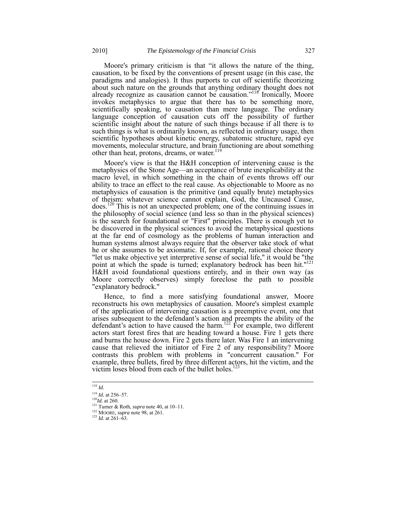Moore's primary criticism is that "it allows the nature of the thing, causation, to be fixed by the conventions of present usage (in this case, the paradigms and analogies). It thus purports to cut off scientific theorizing about such nature on the grounds that anything ordinary thought does not already recognize as causation cannot be causation."<sup>118</sup> Ironically, Moore invokes metaphysics to argue that there has to be something more, scientifically speaking, to causation than mere language. The ordinary language conception of causation cuts off the possibility of further scientific insight about the nature of such things because if all there is to such things is what is ordinarily known, as reflected in ordinary usage, then scientific hypotheses about kinetic energy, subatomic structure, rapid eye movements, molecular structure, and brain functioning are about something other than heat, protons, dreams, or water.119

Moore's view is that the H&H conception of intervening cause is the metaphysics of the Stone Age—an acceptance of brute inexplicability at the macro level, in which something in the chain of events throws off our ability to trace an effect to the real cause. As objectionable to Moore as no metaphysics of causation is the primitive (and equally brute) metaphysics of theism: whatever science cannot explain, God, the Uncaused Cause, does.<sup>120</sup> This is not an unexpected problem; one of the continuing issues in the philosophy of social science (and less so than in the physical sciences) is the search for foundational or "First" principles. There is enough yet to be discovered in the physical sciences to avoid the metaphysical questions at the far end of cosmology as the problems of human interaction and human systems almost always require that the observer take stock of what he or she assumes to be axiomatic. If, for example, rational choice theory "let us make objective yet interpretive sense of social life," it would be "the point at which the spade is turned; explanatory bedrock has been hit."<sup>121</sup> H&H avoid foundational questions entirely, and in their own way (as Moore correctly observes) simply foreclose the path to possible "explanatory bedrock."

Hence, to find a more satisfying foundational answer, Moore reconstructs his own metaphysics of causation. Moore's simplest example of the application of intervening causation is a preemptive event, one that arises subsequent to the defendant's action and preempts the ability of the defendant's action to have caused the harm.<sup>122</sup> For example, two different actors start forest fires that are heading toward a house. Fire 1 gets there and burns the house down. Fire 2 gets there later. Was Fire 1 an intervening cause that relieved the initiator of Fire 2 of any responsibility? Moore contrasts this problem with problems in "concurrent causation." For example, three bullets, fired by three different actors, hit the victim, and the victim loses blood from each of the bullet holes.<sup>12</sup>

l <sup>118</sup> *Id.*

<sup>119</sup> *Id.* at 256–57. <sup>120</sup>*Id.* at 260. <sup>121</sup> Turner & Roth, *supra* note 40, at 10–11.

<sup>122</sup> MOORE, *supra* note 98, at 261. <sup>123</sup> *Id.* at 261–63.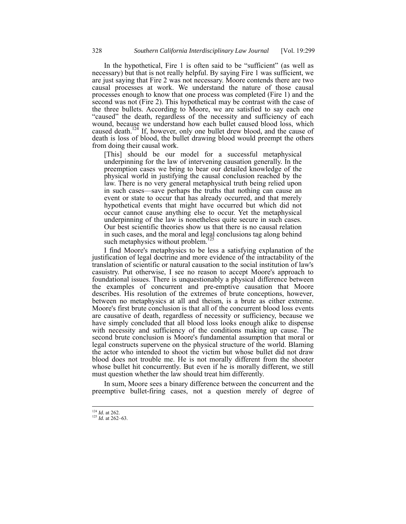In the hypothetical, Fire 1 is often said to be "sufficient" (as well as necessary) but that is not really helpful. By saying Fire 1 was sufficient, we are just saying that Fire 2 was not necessary. Moore contends there are two causal processes at work. We understand the nature of those causal processes enough to know that one process was completed (Fire 1) and the second was not (Fire 2). This hypothetical may be contrast with the case of the three bullets. According to Moore, we are satisfied to say each one "caused" the death, regardless of the necessity and sufficiency of each wound, because we understand how each bullet caused blood loss, which caused death.<sup>124</sup> If, however, only one bullet drew blood, and the cause of death is loss of blood, the bullet drawing blood would preempt the others from doing their causal work.

[This] should be our model for a successful metaphysical underpinning for the law of intervening causation generally. In the preemption cases we bring to bear our detailed knowledge of the physical world in justifying the causal conclusion reached by the law. There is no very general metaphysical truth being relied upon in such cases—save perhaps the truths that nothing can cause an event or state to occur that has already occurred, and that merely hypothetical events that might have occurred but which did not occur cannot cause anything else to occur. Yet the metaphysical underpinning of the law is nonetheless quite secure in such cases. Our best scientific theories show us that there is no causal relation in such cases, and the moral and legal conclusions tag along behind<br>such materials without problem  $\frac{125}{2}$ such metaphysics without problem.<sup>1</sup>

I find Moore's metaphysics to be less a satisfying explanation of the justification of legal doctrine and more evidence of the intractability of the translation of scientific or natural causation to the social institution of law's casuistry. Put otherwise, I see no reason to accept Moore's approach to foundational issues. There is unquestionably a physical difference between the examples of concurrent and pre-emptive causation that Moore describes. His resolution of the extremes of brute conceptions, however, between no metaphysics at all and theism, is a brute as either extreme. Moore's first brute conclusion is that all of the concurrent blood loss events are causative of death, regardless of necessity or sufficiency, because we have simply concluded that all blood loss looks enough alike to dispense with necessity and sufficiency of the conditions making up cause. The second brute conclusion is Moore's fundamental assumption that moral or legal constructs supervene on the physical structure of the world. Blaming the actor who intended to shoot the victim but whose bullet did not draw blood does not trouble me. He is not morally different from the shooter whose bullet hit concurrently. But even if he is morally different, we still must question whether the law should treat him differently.

In sum, Moore sees a binary difference between the concurrent and the preemptive bullet-firing cases, not a question merely of degree of

 $124$  *Id.* at 262.

 $\frac{125 \text{ H}}{1d}$ . at 262–63.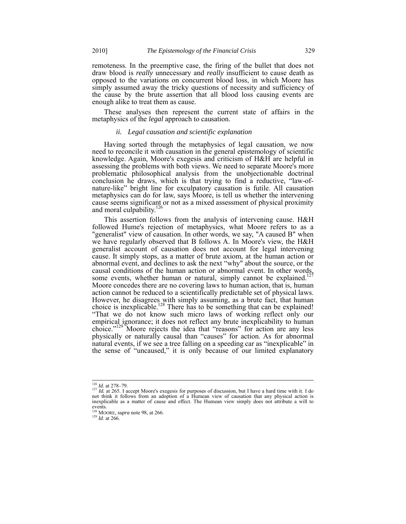remoteness. In the preemptive case, the firing of the bullet that does not draw blood is *really* unnecessary and *really* insufficient to cause death as opposed to the variations on concurrent blood loss, in which Moore has simply assumed away the tricky questions of necessity and sufficiency of the cause by the brute assertion that all blood loss causing events are enough alike to treat them as cause.

These analyses then represent the current state of affairs in the metaphysics of the *legal* approach to causation.

# *ii. Legal causation and scientific explanation*

Having sorted through the metaphysics of legal causation, we now need to reconcile it with causation in the general epistemology of scientific knowledge. Again, Moore's exegesis and criticism of H&H are helpful in assessing the problems with both views. We need to separate Moore's more problematic philosophical analysis from the unobjectionable doctrinal conclusion he draws, which is that trying to find a reductive, "law-ofnature-like" bright line for exculpatory causation is futile. All causation metaphysics can do for law, says Moore, is tell us whether the intervening cause seems significant or not as a mixed assessment of physical proximity and moral culpability.<sup>126</sup>

This assertion follows from the analysis of intervening cause. H&H followed Hume's rejection of metaphysics, what Moore refers to as a "generalist" view of causation. In other words, we say, "A caused B" when we have regularly observed that B follows A. In Moore's view, the H&H generalist account of causation does not account for legal intervening cause. It simply stops, as a matter of brute axiom, at the human action or abnormal event, and declines to ask the next "why" about the source, or the causal conditions of the human action or abnormal event. In other words, some events, whether human or natural, simply cannot be explained.<sup>127</sup> Moore concedes there are no covering laws to human action, that is, human action cannot be reduced to a scientifically predictable set of physical laws. However, he disagrees with simply assuming, as a brute fact, that human choice is inexplicable.<sup>128</sup> There has to be something that can be explained! "That we do not know such micro laws of working reflect only our empirical ignorance; it does not reflect any brute inexplicability to human choice."<sup>129</sup> Moore rejects the idea that "reasons" for action are any less physically or naturally causal than "causes" for action. As for abnormal natural events, if we see a tree falling on a speeding car as "inexplicable" in the sense of "uncaused," it is only because of our limited explanatory

<sup>&</sup>lt;sup>126</sup> *Id.* at 278-79.

 $\frac{127 \text{ HJ}}{Id.}$  at 265. I accept Moore's exegesis for purposes of discussion, but I have a hard time with it. I do not think it follows from an adoption of a Humean view of causation that any physical action is inexplicable as a matter of cause and effect. The Humean view simply does not attribute a will to events.<br><sup>128</sup> MOORE, *supra* note 98, at 266.<br><sup>129</sup> *Id*. at 266.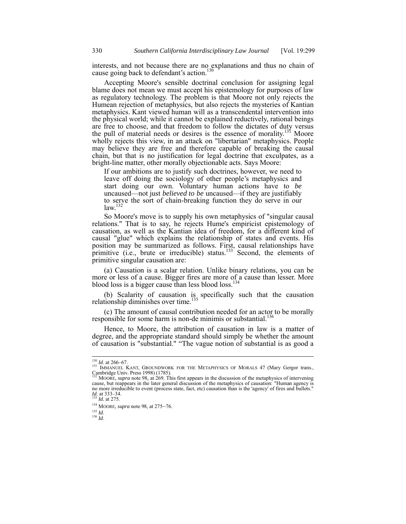interests, and not because there are no explanations and thus no chain of cause going back to defendant's action.<sup>130</sup>

Accepting Moore's sensible doctrinal conclusion for assigning legal blame does not mean we must accept his epistemology for purposes of law as regulatory technology. The problem is that Moore not only rejects the Humean rejection of metaphysics, but also rejects the mysteries of Kantian metaphysics. Kant viewed human will as a transcendental intervention into the physical world; while it cannot be explained reductively, rational beings are free to choose, and that freedom to follow the dictates of duty versus the pull of material needs or desires is the essence of morality.<sup>131</sup> Moore wholly rejects this view, in an attack on "libertarian" metaphysics. People may believe they are free and therefore capable of breaking the causal chain, but that is no justification for legal doctrine that exculpates, as a bright-line matter, other morally objectionable acts. Says Moore:

If our ambitions are to justify such doctrines, however, we need to leave off doing the sociology of other people's metaphysics and start doing our own. Voluntary human actions have to *be* uncaused—not just *believed to be* uncaused—if they are justifiably to serve the sort of chain-breaking function they do serve in our  $law.<sup>132</sup>$ 

So Moore's move is to supply his own metaphysics of "singular causal relations." That is to say, he rejects Hume's empiricist epistemology of causation, as well as the Kantian idea of freedom, for a different kind of causal "glue" which explains the relationship of states and events. His position may be summarized as follows. First, causal relationships have primitive (i.e., brute or irreducible) status.<sup>133</sup> Second, the elements of primitive singular causation are:

(a) Causation is a scalar relation. Unlike binary relations, you can be more or less of a cause. Bigger fires are more of a cause than lesser. More blood loss is a bigger cause than less blood loss.<sup>134</sup>

(b) Scalarity of causation is specifically such that the causation relationship diminishes over time.<sup>135</sup>

(c) The amount of causal contribution needed for an actor to be morally responsible for some harm is non-de minimis or substantial.<sup>136</sup>

Hence, to Moore, the attribution of causation in law is a matter of degree, and the appropriate standard should simply be whether the amount of causation is "substantial." "The vague notion of substantial is as good a

<sup>&</sup>lt;sup>130</sup> *Id.* at 266–67.<br><sup>131</sup> IMMANUEL KANT, GROUNDWORK FOR THE METAPHYSICS OF MORALS 47 (Mary Gergor trans., Cambridge Univ. Press 1998) (1785).

<sup>&</sup>lt;sup>132</sup> MOORE, *supra* note 98, at  $269$ . This first appears in the discussion of the metaphysics of intervening cause, but reappears in the later general discussion of the metaphysics of causation: "Human agency is no more irreducible to event (process state, fact, etc) causation than is the 'agency' of fires and bullets."<br> $I_d$  at 333–34.<br><sup>133</sup> *Id.* at 275.

<sup>&</sup>lt;sup>134</sup> MOORE, *supra* note 98, at 275–76.<br><sup>135</sup> *Id.* 

<sup>135</sup> *Id*. <sup>136</sup> *Id*.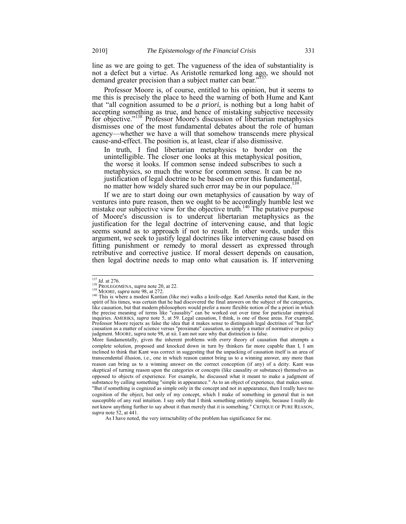line as we are going to get. The vagueness of the idea of substantiality is not a defect but a virtue. As Aristotle remarked long ago, we should not demand greater precision than a subject matter can bear."<sup>137</sup>

Professor Moore is, of course, entitled to his opinion, but it seems to me this is precisely the place to heed the warning of both Hume and Kant that "all cognition assumed to be *a priori*, is nothing but a long habit of accepting something as true, and hence of mistaking subjective necessity for objective."<sup>138</sup> Professor Moore's discussion of libertarian metaphysics dismisses one of the most fundamental debates about the role of human agency—whether we have a will that somehow transcends mere physical cause-and-effect. The position is, at least, clear if also dismissive.

In truth, I find libertarian metaphysics to border on the unintelligible. The closer one looks at this metaphysical position, the worse it looks. If common sense indeed subscribes to such a metaphysics, so much the worse for common sense. It can be no justification of legal doctrine to be based on error this fundamental, no matter how widely shared such error may be in our populace.<sup>13</sup>

If we are to start doing our own metaphysics of causation by way of ventures into pure reason, then we ought to be accordingly humble lest we mistake our subjective view for the objective truth.<sup>140</sup> The putative purpose of Moore's discussion is to undercut libertarian metaphysics as the justification for the legal doctrine of intervening cause, and that logic seems sound as to approach if not to result. In other words, under this argument, we seek to justify legal doctrines like intervening cause based on fitting punishment or remedy to moral dessert as expressed through retributive and corrective justice. If moral dessert depends on causation, then legal doctrine needs to map onto what causation is. If intervening

More fundamentally, given the inherent problems with *every* theory of causation that attempts a complete solution, proposed and knocked down in turn by thinkers far more capable than I, I am inclined to think that Kant was correct in suggesting that the unpacking of causation itself is an area of transcendental illusion, i.e., one in which reason cannot bring us to a winning answer, any more than reason can bring us to a winning answer on the correct conception (if any) of a deity. Kant was skeptical of turning reason upon the categories or concepts (like causality or substance) themselves as opposed to objects of experience. For example, he discussed what it meant to make a judgment of substance by calling something "simple in appearance." As to an object of experience, that makes sense. "But if something is cognized as simple only in the concept and not in appearance, then I really have no cognition of the object, but only of my concept, which I make of something in general that is not susceptible of any real intuition. I say only that I think something entirely simple, because I really do not know anything further to say about it than merely that it is something." CRITIQUE OF PURE REASON, *supra* note 52, at 441.

As I have noted, the very intractability of the problem has significance for me.

 $137$  *Id.* at 276.

<sup>&</sup>lt;sup>138</sup> PROLEGOMENA, *supra* note 20, at 22.<br><sup>139</sup> MOORE, *supra* note 98, at 272.<br><sup>140</sup> This is where a modest Kantian (like me) walks a knife-edge. Karl Ameriks noted that Kant, in the spirit of his times, was certain that he had discovered the final answers on the subject of the categories, like causation, but that modern philosophers would prefer a more flexible notion of the a priori in which the precise meaning of terms like "causality" can be worked out over time for particular empirical inquiries. AMERIKS, *supra* note 5, at 59. Legal causation, I think, is one of those areas. For example, Professor Moore rejects as false the idea that it makes sense to distinguish legal doctrines of "but for" causation as a matter of science versus "proximate" causation, as simply a matter of normative or policy judgment. MOORE, *supra* note 98, at xii. I am not sure why that distinction is false.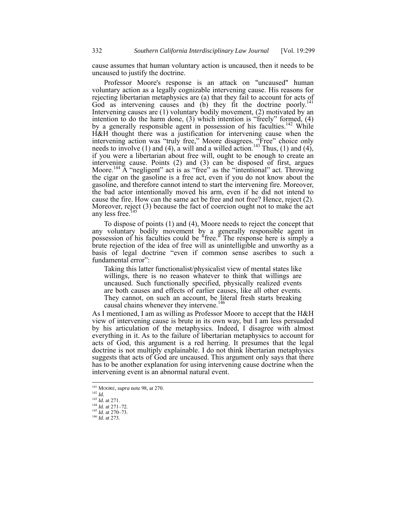cause assumes that human voluntary action is uncaused, then it needs to be uncaused to justify the doctrine.

Professor Moore's response is an attack on "uncaused" human voluntary action as a legally cognizable intervening cause. His reasons for rejecting libertarian metaphysics are (a) that they fail to account for acts of God as intervening causes and (b) they fit the doctrine poorly.<sup>141</sup> Intervening causes are (1) voluntary bodily movement, (2) motivated by an intention to do the harm done, (3) which intention is "freely" formed, (4) by a generally responsible agent in possession of his faculties.<sup>142</sup> While H&H thought there was a justification for intervening cause when the intervening action was "truly free," Moore disagrees. "Free" choice only needs to involve  $(1)$  and  $(4)$ , a will and a willed action.<sup>143</sup> Thus,  $(1)$  and  $(4)$ , if you were a libertarian about free will, ought to be enough to create an intervening cause. Points (2) and (3) can be disposed of first, argues Moore.<sup>144</sup> A "negligent" act is as "free" as the "intentional" act. Throwing the cigar on the gasoline is a free act, even if you do not know about the gasoline, and therefore cannot intend to start the intervening fire. Moreover, the bad actor intentionally moved his arm, even if he did not intend to cause the fire. How can the same act be free and not free? Hence, reject (2). Moreover, reject (3) because the fact of coercion ought not to make the act any less free.

To dispose of points (1) and (4), Moore needs to reject the concept that any voluntary bodily movement by a generally responsible agent in possession of his faculties could be "free." The response here is simply a brute rejection of the idea of free will as unintelligible and unworthy as a basis of legal doctrine "even if common sense ascribes to such a fundamental error":

Taking this latter functionalist/physicalist view of mental states like willings, there is no reason whatever to think that willings are uncaused. Such functionally specified, physically realized events are both causes and effects of earlier causes, like all other events. They cannot, on such an account, be literal fresh starts breaking causal chains whenever they intervene.<sup>146</sup>

As I mentioned, I am as willing as Professor Moore to accept that the H&H view of intervening cause is brute in its own way, but I am less persuaded by his articulation of the metaphysics. Indeed, I disagree with almost everything in it. As to the failure of libertarian metaphysics to account for acts of God, this argument is a red herring. It presumes that the legal doctrine is not multiply explainable. I do not think libertarian metaphysics suggests that acts of God are uncaused. This argument only says that there has to be another explanation for using intervening cause doctrine when the intervening event is an abnormal natural event.

- <sup>141</sup> MOORE, *supra* note 98, at 270.
- <sup>142</sup> *Id.*

<sup>143</sup> *Id.* at 271.

<sup>144</sup> *Id.* at 271–72. <sup>145</sup> *Id.* at 270–73. <sup>146</sup> *Id.* at 273.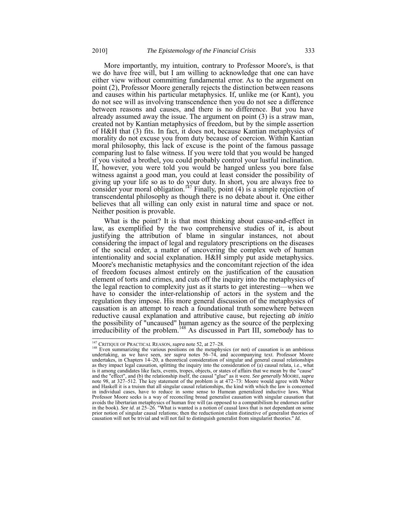More importantly, my intuition, contrary to Professor Moore's, is that we do have free will, but I am willing to acknowledge that one can have either view without committing fundamental error. As to the argument on

point (2), Professor Moore generally rejects the distinction between reasons and causes within his particular metaphysics. If, unlike me (or Kant), you do not see will as involving transcendence then you do not see a difference between reasons and causes, and there is no difference. But you have already assumed away the issue. The argument on point (3) is a straw man, created not by Kantian metaphysics of freedom, but by the simple assertion of H&H that (3) fits. In fact, it does not, because Kantian metaphysics of morality do not excuse you from duty because of coercion. Within Kantian moral philosophy, this lack of excuse is the point of the famous passage comparing lust to false witness. If you were told that you would be hanged if you visited a brothel, you could probably control your lustful inclination. If, however, you were told you would be hanged unless you bore false witness against a good man, you could at least consider the possibility of giving up your life so as to do your duty. In short, you are always free to consider your moral obligation.<sup>147</sup> Finally, point  $(4)$  is a simple rejection of transcendental philosophy as though there is no debate about it. One either believes that all willing can only exist in natural time and space or not. Neither position is provable.

What is the point? It is that most thinking about cause-and-effect in law, as exemplified by the two comprehensive studies of it, is about justifying the attribution of blame in singular instances, not about considering the impact of legal and regulatory prescriptions on the diseases of the social order, a matter of uncovering the complex web of human intentionality and social explanation. H&H simply put aside metaphysics. Moore's mechanistic metaphysics and the concomitant rejection of the idea of freedom focuses almost entirely on the justification of the causation element of torts and crimes, and cuts off the inquiry into the metaphysics of the legal reaction to complexity just as it starts to get interesting—when we have to consider the inter-relationship of actors in the system and the regulation they impose. His more general discussion of the metaphysics of causation is an attempt to reach a foundational truth somewhere between reductive causal explanation and attributive cause, but rejecting *ab initio* the possibility of "uncaused" human agency as the source of the perplexing irreducibility of the problem.148 As discussed in Part III, *somebody* has to

<sup>&</sup>lt;sup>147</sup> CRITIQUE OF PRACTICAL REASON, *supra* note 52, at  $27-28$ .<br><sup>148</sup> Even summarizing the various positions on the metaphysics (or not) of causation is an ambitious undertaking, as we have seen, *see supra* notes 56–74, and accompanying text. Professor Moore undertakes, in Chapters 14–20, a theoretical consideration of singular and general causal relationships as they impact legal causation, splitting the inquiry into the consideration of (a) causal relata, i.e., what is it among candidates like facts, events, tropes, objects, or states of affairs that we mean by the "cause" and the "effect", and (b) the relationship itself, the causal "glue" as it were. *See generally* MOORE, *supra* note 98, at 327–512. The key statement of the problem is at 472–73: Moore would agree with Weber and Haskell it is a truism that all singular causal relationships, the kind with which the law is concerned in individual cases, have to reduce in some sense to Humean generalized inductive laws. What Professor Moore seeks is a way of reconciling broad generalist causation with singular causation that avoids the libertarian metaphysics of human free will (as opposed to a compatibilism he endorses earlier in the book). *See id*. at 25–26. "What is wanted is a notion of causal laws that is not dependant on some prior notion of singular causal relations; then the reductionist claim distinctive of generalist theories of causation will not be trivial and will not fail to distinguish generalist from singularist theories." *Id.*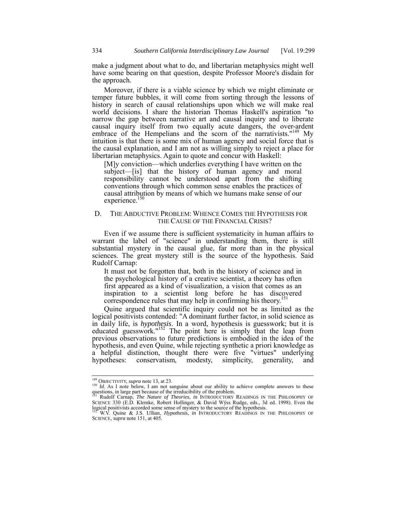make a judgment about what to do, and libertarian metaphysics might well have some bearing on that question, despite Professor Moore's disdain for the approach.

Moreover, if there is a viable science by which we might eliminate or temper future bubbles, it will come from sorting through the lessons of history in search of causal relationships upon which we will make real world decisions. I share the historian Thomas Haskell's aspiration "to narrow the gap between narrative art and causal inquiry and to liberate causal inquiry itself from two equally acute dangers, the over-ardent embrace of the Hempelians and the scorn of the narrativists."<sup>149</sup> My intuition is that there is some mix of human agency and social force that is the causal explanation, and I am not as willing simply to reject a place for libertarian metaphysics. Again to quote and concur with Haskell:

[M]y conviction—which underlies everything I have written on the subject—[is] that the history of human agency and moral responsibility cannot be understood apart from the shifting conventions through which common sense enables the practices of causal attribution by means of which we humans make sense of our experience.<sup>150</sup>

## D. THE ABDUCTIVE PROBLEM: WHENCE COMES THE HYPOTHESIS FOR THE CAUSE OF THE FINANCIAL CRISIS?

Even if we assume there is sufficient systematicity in human affairs to warrant the label of "science" in understanding them, there is still substantial mystery in the causal glue, far more than in the physical sciences. The great mystery still is the source of the hypothesis. Said Rudolf Carnap:

It must not be forgotten that, both in the history of science and in the psychological history of a creative scientist, a theory has often first appeared as a kind of visualization, a vision that comes as an inspiration to a scientist long before he has discovered correspondence rules that may help in confirming his theory.<sup>11</sup>

Quine argued that scientific inquiry could not be as limited as the logical positivists contended: "A dominant further factor, in solid science as in daily life, is *hypothesis*. In a word, hypothesis is guesswork; but it is educated guesswork."<sup>152</sup> The point here is simply that the leap from previous observations to future predictions is embodied in the idea of the hypothesis, and even Quine, while rejecting synthetic a priori knowledge as a helpful distinction, thought there were five "virtues" underlying hypotheses: conservatism, modesty, simplicity, generality, and modesty, simplicity, generality, and

<sup>&</sup>lt;sup>149</sup> OBJECTIVITY, supra note 13, at 23.

<sup>&</sup>lt;sup>149</sup> OBJECTIVITY, *supra* note 13, at 23.<br><sup>150</sup> *Id.* As I note below, I am not sanguine about our ability to achieve complete answers to these<br>questions, in large part because of the irreducibility of the problem.<br><sup>151</sup>

SCIENCE 330 (E.D. Klemke, Robert Hollinger, & David Wÿss Rudge, eds., 3d ed. 1998). Even the logical positivists accorded some sense of mystery to the source of the hypothesis.

<sup>152</sup> W.V. Quine & J.S. Ullian, *Hypothesis*, *in* INTRODUCTORY READINGS IN THE PHILOSOPHY OF SCIENCE, *supra* note 151, at 405.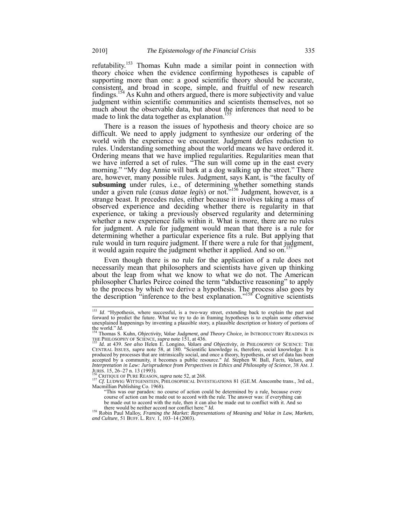refutability.<sup>153</sup> Thomas Kuhn made a similar point in connection with theory choice when the evidence confirming hypotheses is capable of supporting more than one: a good scientific theory should be accurate, consistent, and broad in scope, simple, and fruitful of new research findings.154 As Kuhn and others argued, there is more subjectivity and value judgment within scientific communities and scientists themselves, not so much about the observable data, but about the inferences that need to be made to link the data together as explanation. $<sup>1</sup>$ </sup>

There is a reason the issues of hypothesis and theory choice are so difficult. We need to apply judgment to synthesize our ordering of the world with the experience we encounter. Judgment defies reduction to rules. Understanding something about the world means we have ordered it. Ordering means that we have implied regularities. Regularities mean that we have inferred a set of rules. "The sun will come up in the east every morning." "My dog Annie will bark at a dog walking up the street." There are, however, many possible rules. Judgment, says Kant, is "the faculty of **subsuming** under rules, i.e., of determining whether something stands under a given rule (*casus datae legis*) or not."156 Judgment, however, is a strange beast. It precedes rules, either because it involves taking a mass of observed experience and deciding whether there is regularity in that experience, or taking a previously observed regularity and determining whether a new experience falls within it. What is more, there are no rules for judgment. A rule for judgment would mean that there is a rule for determining whether a particular experience fits a rule. But applying that rule would in turn require judgment. If there were a rule for that judgment, it would again require the judgment whether it applied. And so on.<sup>1</sup>

Even though there is no rule for the application of a rule does not necessarily mean that philosophers and scientists have given up thinking about the leap from what we know to what we do not. The American philosopher Charles Peirce coined the term "abductive reasoning" to apply to the process by which we derive a hypothesis. The process also goes by the description "inference to the best explanation."<sup>158</sup> Cognitive scientists

<sup>156</sup> CRITIQUE OF PURE REASON, *supra* note 52, at 268.<br><sup>157</sup> *Cf.* LUDWIG WITTGENSTEIN, PHILOSOPHICAL INVESTIGATIONS 81 (G.E.M. Anscombe trans., 3rd ed., Macmillian Publishing Co. 1968).

there would be neither accord nor conflict here." *Id.* <sup>158</sup> Robin Paul Malloy, *Framing the Market: Representations of Meaning and Value in Law, Markets, and Culture*, 51 BUFF. L. REV. 1, 103–14 (2003).

<sup>&</sup>lt;sup>153</sup> *Id.* "Hypothesis, where successful, is a two-way street, extending back to explain the past and forward to predict the future. What we try to do in framing hypotheses is to explain some otherwise unexplained happenings by inventing a plausible story, a plausible description or history of portions of

the world." *Id.* 154 Thomas S. Kuhn, *Objectivity, Value Judgment, and Theory Choice, in* INTRODUCTORY READINGS IN THE PHILOSOPHY OF SCIENCE, *supra* note 151, at 436. <sup>155</sup> *Id.* at 439. *See also* Helen E. Longino, *Values and Objectivity*, *in* PHILOSOPHY OF SCIENCE: THE

CENTRAL ISSUES, *supra* note 58, at 180. "Scientific knowledge is, therefore, social knowledge. It is produced by processes that are intrinsically social, and once a theory, hypothesis, or set of data has been accepted by a community, it becomes a public resource." *Id.* Stephen W. Ball, *Facts, Values, and Interpretation in Law: Jurisprudence from Perspectives in Ethics and Philosophy of Science*, 38 AM. J.

<sup>&</sup>quot;This was our paradox: no course of action could be determined by a rule, because every course of action can be made out to accord with the rule. The answer was: if everything can be made out to accord with the rule, then it can also be made out to conflict with it. And so there would be neither accord nor conflict here."  $Id$ .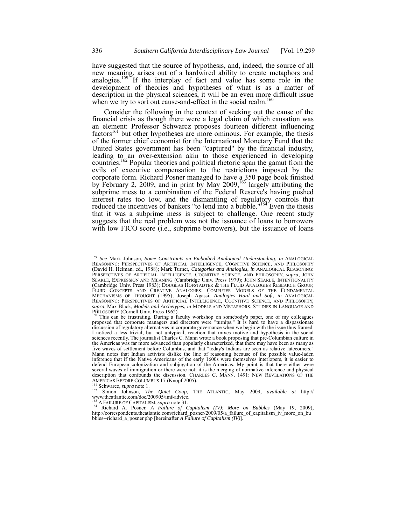have suggested that the source of hypothesis, and, indeed, the source of all new meaning, arises out of a hardwired ability to create metaphors and analogies.<sup>159</sup> If the interplay of fact and value has some role in the development of theories and hypotheses of what *is* as a matter of description in the physical sciences, it will be an even more difficult issue when we try to sort out cause-and-effect in the social realm.<sup>160</sup>

Consider the following in the context of seeking out the cause of the financial crisis as though there were a legal claim of which causation was an element: Professor Schwarcz proposes fourteen different influencing  $factors<sup>161</sup>$  but other hypotheses are more ominous. For example, the thesis of the former chief economist for the International Monetary Fund that the United States government has been "captured" by the financial industry, leading to an over-extension akin to those experienced in developing countries.<sup>162</sup> Popular theories and political rhetoric span the gamut from the evils of executive compensation to the restrictions imposed by the corporate form. Richard Posner managed to have a 350 page book finished by February 2, 2009, and in print by May  $2009$ ,  $^{163}$  largely attributing the subprime mess to a combination of the Federal Reserve's having pushed interest rates too low, and the dismantling of regulatory controls that reduced the incentives of bankers "to lend into a bubble."<sup>164</sup> Even the thesis that it was a subprime mess is subject to challenge. One recent study suggests that the real problem was not the issuance of loans to borrowers with low FICO score (i.e., subprime borrowers), but the issuance of loans

<sup>159</sup> *See* Mark Johnson, *Some Constraints on Embodied Analogical Understanding*, *in* ANALOGICAL REASONING: PERSPECTIVES OF ARTIFICIAL INTELLIGENCE, COGNITIVE SCIENCE, AND PHILOSOPHY (David H. Helman, ed., 1988); Mark Turner, *Categories and Analogies*, *in* ANALOGICAL REASONING: PERSPECTIVES OF ARTIFICIAL INTELLIGENCE, COGNITIVE SCIENCE, AND PHILOSOPHY, *supra*; JOHN SEARLE, EXPRESSION AND MEANING (Cambridge Univ. Press 1979); JOHN SEARLE, INTENTIONALITY (Cambridge Univ. Press 1983); DOUGLAS HOFSTADTER & THE FLUID ANALOGIES RESEARCH GROUP, FLUID CONCEPTS AND CREATIVE ANALOGIES: COMPUTER MODELS OF THE FUNDAMENTAL MECHANISMS OF THOUGHT (1995); Joseph Agassi, *Analogies Hard and Soft*, *in* ANALOGICAL REASONING: PERSPECTIVES OF ARTIFICIAL INTELLIGENCE, COGNITIVE SCIENCE, AND PHILOSOPHY, *supra*; Max Black, *Models and Archetypes*, *in* MODELS AND METAPHORS: STUDIES IN LANGUAGE AND

PHILOSOPHY (Cornell Univ. Press 1962).<br>
<sup>160</sup> This can be frustrating. During a faculty workshop on somebody's paper, one of my colleagues<br>
<sup>160</sup> This can be frustrating. During a faculty workshop on somebody's paper, one proposed that corporate managers and directors were "turnips." It is hard to have a dispassionate discussion of regulatory alternatives in corporate governance when we begin with the issue thus framed. I noticed a less trivial, but not untypical, reaction that mixes motive and hypothesis in the social sciences recently. The journalist Charles C. Mann wrote a book proposing that pre-Columbian culture in the Americas was far more advanced than popularly characterized, that there may have been as many as five waves of settlement before Columbus, and that "today's Indians are seen as relative latecomers." Mann notes that Indian activists dislike the line of reasoning because of the possible value-laden inference that if the Native Americans of the early 1600s were themselves interlopers, it is easier to defend European colonization and subjugation of the Americas. My point is that there either were several waves of immigration or there were not; it is the merging of normative inference and physical description that confounds the discussion. CHARLES C. MANN, 1491: NEW REVELATIONS OF THE AMERICAS BEFORE COLUMBUS 17 (Knopf 2005).<br>
<sup>161</sup> Schwarcz, *supra* note 1.<br>
<sup>162</sup> Simon Johnson, *The Quiet Coup*, THE ATLANTIC, May 2009, *available at* http://<br>
<sup>162</sup> Simon Johnson, *The Quiet Coup*, THE ATLANTIC, May 20

www.theatlantic.com/doc/200905/imf-advice.

<sup>&</sup>lt;sup>163</sup> A FAILURE OF CAPITALISM, *supra* note 31.<br><sup>164</sup> Richard A. Posner, *A Failure of Capitalism (IV): More on Bubbles* (May 19, 2009), http://correspondents.theatlantic.com/richard\_posner/2009/05/a\_failure\_of\_capitalism\_iv\_more\_on\_bu bbles--richard\_a\_posner.php [hereinafter *A Failure of Capitalism (IV)*].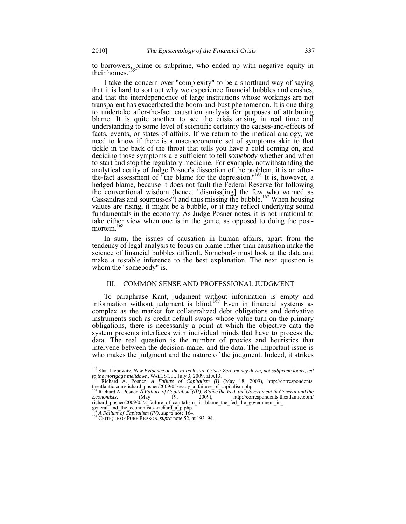to borrowers, prime or subprime, who ended up with negative equity in their homes.<sup>165</sup>

I take the concern over "complexity" to be a shorthand way of saying that it is hard to sort out why we experience financial bubbles and crashes, and that the interdependence of large institutions whose workings are not transparent has exacerbated the boom-and-bust phenomenon. It is one thing to undertake after-the-fact causation analysis for purposes of attributing blame. It is quite another to see the crisis arising in real time and understanding to some level of scientific certainty the causes-and-effects of facts, events, or states of affairs. If we return to the medical analogy, we need to know if there is a macroeconomic set of symptoms akin to that tickle in the back of the throat that tells you have a cold coming on, and deciding those symptoms are sufficient to tell *somebody* whether and when to start and stop the regulatory medicine. For example, notwithstanding the analytical acuity of Judge Posner's dissection of the problem, it is an afterthe-fact assessment of "the blame for the depression."166 It is, however, a hedged blame, because it does not fault the Federal Reserve for following the conventional wisdom (hence, "dismiss[ing] the few who warned as Cassandras and sourpusses") and thus missing the bubble.<sup>167</sup> When housing values are rising, it might be a bubble, or it may reflect underlying sound fundamentals in the economy. As Judge Posner notes, it is not irrational to take either view when one is in the game, as opposed to doing the postmortem.<sup>16</sup>

In sum, the issues of causation in human affairs, apart from the tendency of legal analysis to focus on blame rather than causation make the science of financial bubbles difficult. Somebody must look at the data and make a testable inference to the best explanation. The next question is whom the "somebody" is.

# III. COMMON SENSE AND PROFESSIONAL JUDGMENT

To paraphrase Kant, judgment without information is empty and information without judgment is blind.169 Even in financial systems as complex as the market for collateralized debt obligations and derivative instruments such as credit default swaps whose value turn on the primary obligations, there is necessarily a point at which the objective data the system presents interfaces with individual minds that have to process the data. The real question is the number of proxies and heuristics that intervene between the decision-maker and the data. The important issue is who makes the judgment and the nature of the judgment. Indeed, it strikes

<sup>165</sup> Stan Liebowitz, *New Evidence on the Foreclosure Crisis: Zero money down, not subprime loans, led to the mortgage meltdown*, WALL ST. J., July 3, 2009, at A13. <sup>166</sup> Richard A. Posner, *A Failure of Capitalism (I)* (May 18, 2009)*,* http://correspondents.

theatlantic.com/richard\_posner/2009/05/ready\_a\_failure\_of\_capitalism.php.<br><sup>167</sup> Richard A. Posner, *A Failure of Capitalism (III): Blame the Fed, the Government in General and the* 

*Economists,* (May 19, 2009), http://correspondents.theatlantic.com/ richard\_posner/2009/05/a\_failure\_of\_capitalism\_iii--blame\_the\_fed\_the\_government\_in\_<br>richard\_posner/2009/05/a\_failure\_of\_capitalism\_iii--blame\_the\_fed\_the\_government\_in\_

general\_and\_the\_economists--richard\_a\_p.php.<br>  $\frac{168}{168}$  A Failure of Capitalism (IV), supra note 164.

<sup>&</sup>lt;sup>169</sup> CRITIQUE OF PURE REASON, *supra* note 52, at 193–94.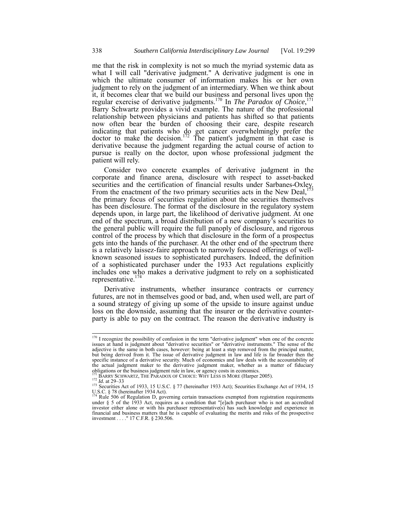me that the risk in complexity is not so much the myriad systemic data as what I will call "derivative judgment." A derivative judgment is one in which the ultimate consumer of information makes his or her own judgment to rely on the judgment of an intermediary. When we think about it, it becomes clear that we build our business and personal lives upon the regular exercise of derivative judgments.170 In *The Paradox of Choice*, 171 Barry Schwartz provides a vivid example. The nature of the professional relationship between physicians and patients has shifted so that patients now often bear the burden of choosing their care, despite research indicating that patients who do get cancer overwhelmingly prefer the doctor to make the decision.<sup>172</sup> The patient's judgment in that case is derivative because the judgment regarding the actual course of action to pursue is really on the doctor, upon whose professional judgment the patient will rely.

Consider two concrete examples of derivative judgment in the corporate and finance arena, disclosure with respect to asset-backed securities and the certification of financial results under Sarbanes-Oxley. From the enactment of the two primary securities acts in the New Deal,  $1^{1/3}$ the primary focus of securities regulation about the securities themselves has been disclosure. The format of the disclosure in the regulatory system depends upon, in large part, the likelihood of derivative judgment. At one end of the spectrum, a broad distribution of a new company's securities to the general public will require the full panoply of disclosure, and rigorous control of the process by which that disclosure in the form of a prospectus gets into the hands of the purchaser. At the other end of the spectrum there is a relatively laissez-faire approach to narrowly focused offerings of wellknown seasoned issues to sophisticated purchasers. Indeed, the definition of a sophisticated purchaser under the 1933 Act regulations explicitly includes one who makes a derivative judgment to rely on a sophisticated representative.<sup>174</sup>

Derivative instruments, whether insurance contracts or currency futures, are not in themselves good or bad, and, when used well, are part of a sound strategy of giving up some of the upside to insure against undue loss on the downside, assuming that the insurer or the derivative counterparty is able to pay on the contract. The reason the derivative industry is

 $170$  I recognize the possibility of confusion in the term "derivative judgment" when one of the concrete issues at hand is judgment about "derivative securities" or "derivative instruments." The sense of the adjective is the same in both cases, however: being at least a step removed from the principal matter, but being derived from it. The issue of derivative judgment in law and life is far broader then the specific instance of a derivative security. Much of economics and law deals with the accountability of the actual judgment maker to the derivative judgment maker, whether as a matter of fiduciary obligations or the business judgment rule in law, or agency costs in economics.<br> $^{171}_{12}$  BARRY SCHWARTZ, THE PARADOX OF CHOICE: WHY LESS IS MORE (Harper 2005).

<sup>&</sup>lt;sup>171</sup> BARRY SCHWARTZ, THE PARADOX OF CHOICE: WHY LESS IS MORE (Harper 2005).<br><sup>172</sup> Id. at 29–33<br><sup>173</sup> Securities Act of 1933, 15 U.S.C. § 77 (hereinafter 1933 Act); Securities Exchange Act of 1934, 15<br>U.S.C. § 78 (hereina

under § 5 of the 1933 Act, requires as a condition that "[e]ach purchaser who is not an accredited investor either alone or with his purchaser representative(s) has such knowledge and experience in financial and business matters that he is capable of evaluating the merits and risks of the prospective investment . . . ." 17 C.F.R. § 230.506.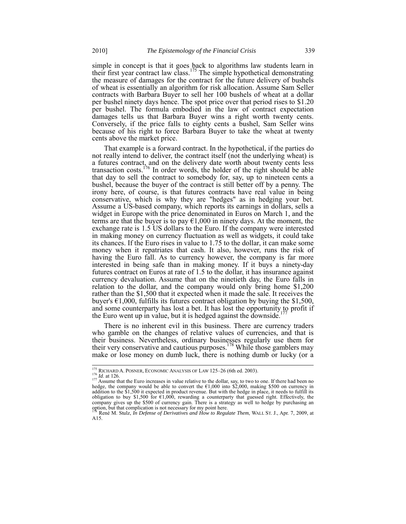simple in concept is that it goes back to algorithms law students learn in their first year contract law class.<sup>175</sup> The simple hypothetical demonstrating the measure of damages for the contract for the future delivery of bushels of wheat is essentially an algorithm for risk allocation. Assume Sam Seller contracts with Barbara Buyer to sell her 100 bushels of wheat at a dollar per bushel ninety days hence. The spot price over that period rises to \$1.20 per bushel. The formula embodied in the law of contract expectation damages tells us that Barbara Buyer wins a right worth twenty cents. Conversely, if the price falls to eighty cents a bushel, Sam Seller wins because of his right to force Barbara Buyer to take the wheat at twenty cents above the market price.

That example is a forward contract. In the hypothetical, if the parties do not really intend to deliver, the contract itself (not the underlying wheat) is a futures contract, and on the delivery date worth about twenty cents less transaction costs.<sup>176</sup> In order words, the holder of the right should be able that day to sell the contract to somebody for, say, up to nineteen cents a bushel, because the buyer of the contract is still better off by a penny. The irony here, of course, is that futures contracts have real value in being conservative, which is why they are "hedges" as in hedging your bet. Assume a US-based company, which reports its earnings in dollars, sells a widget in Europe with the price denominated in Euros on March 1, and the terms are that the buyer is to pay  $\epsilon$ 1,000 in ninety days. At the moment, the exchange rate is 1.5 US dollars to the Euro. If the company were interested in making money on currency fluctuation as well as widgets, it could take its chances. If the Euro rises in value to 1.75 to the dollar, it can make some money when it repatriates that cash. It also, however, runs the risk of having the Euro fall. As to currency however, the company is far more interested in being safe than in making money. If it buys a ninety-day futures contract on Euros at rate of 1.5 to the dollar, it has insurance against currency devaluation. Assume that on the ninetieth day, the Euro falls in relation to the dollar, and the company would only bring home \$1,200 rather than the \$1,500 that it expected when it made the sale. It receives the buyer's  $\epsilon$ 1,000, fulfills its futures contract obligation by buying the \$1,500, and some counterparty has lost a bet. It has lost the opportunity to profit if the Euro went up in value, but it is hedged against the downside.

There is no inherent evil in this business. There are currency traders who gamble on the changes of relative values of currencies, and that is their business. Nevertheless, ordinary businesses regularly use them for their very conservative and cautious purposes.<sup>178</sup> While those gamblers may make or lose money on dumb luck, there is nothing dumb or lucky (or a

<sup>&</sup>lt;sup>175</sup> RICHARD A. POSNER, ECONOMIC ANALYSIS OF LAW 125–26 (6th ed. 2003).<br><sup>176</sup> *Id*. at 126. 176 *Id*. at 126. 177 Assume that the Euro increases in value relative to the dollar, say, to two to one. If there had been no hedge, the company would be able to convert the €1,000 into \$2,000, making \$500 on currency in addition to the \$1,500 it expected in product revenue. But with the hedge in place, it needs to fulfill its obligation to buy \$1,500 for  $\epsilon$ 1,000, rewarding a counterparty that guessed right. Effectively, the company gives up the \$500 of currency gain. There is a strategy as well to hedge by purchasing an option, but that complication is not necessary for my point here.

<sup>&</sup>lt;sup>1</sup> René M. Stulz, *In Defense of Derivatives and How to Regulate Them*, WALL ST. J., Apr. 7, 2009, at A15.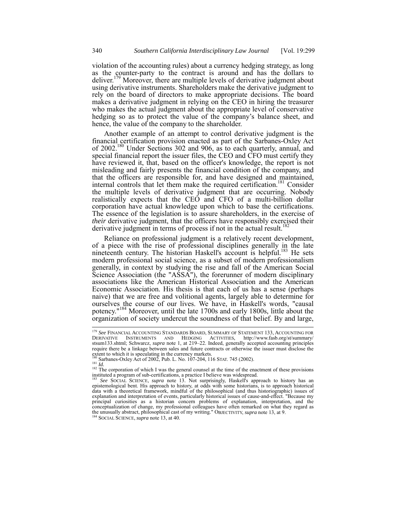violation of the accounting rules) about a currency hedging strategy, as long as the counter-party to the contract is around and has the dollars to deliver.<sup>179</sup> Moreover, there are multiple levels of derivative judgment about using derivative instruments. Shareholders make the derivative judgment to rely on the board of directors to make appropriate decisions. The board makes a derivative judgment in relying on the CEO in hiring the treasurer who makes the actual judgment about the appropriate level of conservative hedging so as to protect the value of the company's balance sheet, and hence, the value of the company to the shareholder.

Another example of an attempt to control derivative judgment is the financial certification provision enacted as part of the Sarbanes-Oxley Act of 2002.180 Under Sections 302 and 906, as to each quarterly, annual, and special financial report the issuer files, the CEO and CFO must certify they have reviewed it, that, based on the officer's knowledge, the report is not misleading and fairly presents the financial condition of the company, and that the officers are responsible for, and have designed and maintained, internal controls that let them make the required certification.<sup>181</sup> Consider the multiple levels of derivative judgment that are occurring. Nobody realistically expects that the CEO and CFO of a multi-billion dollar corporation have actual knowledge upon which to base the certifications. The essence of the legislation is to assure shareholders, in the exercise of *their* derivative judgment, that the officers have responsibly exercised their derivative judgment in terms of process if not in the actual result.<sup>18</sup>

Reliance on professional judgment is a relatively recent development, of a piece with the rise of professional disciplines generally in the late nineteenth century. The historian Haskell's account is helpful.<sup>183</sup> He sets modern professional social science, as a subset of modern professionalism generally, in context by studying the rise and fall of the American Social Science Association (the "ASSA"), the forerunner of modern disciplinary associations like the American Historical Association and the American Economic Association. His thesis is that each of us has a sense (perhaps naive) that we are free and volitional agents, largely able to determine for ourselves the course of our lives. We have, in Haskell's words, "causal potency."<sup>184</sup> Moreover, until the late 1700s and early 1800s, little about the organization of society undercut the soundness of that belief. By and large,

<sup>179</sup> *See* FINANCIAL ACCOUNTING STANDARDS BOARD, SUMMARY OF STATEMENT 133, ACCOUNTING FOR DERIVATIVE INSTRUMENTS AND HEDGING ACTIVITIES, http://www.fasb.org/st/summary/ stsum133.shtml; Schwarcz, *supra* note 1, at 219–22. Indeed, generally accepted accounting principles require there be a linkage between sales and future contracts or otherwise the issuer must disclose the extent to which it is speculating in the currency markets.<br><sup>180</sup> Sarbanes-Oxley Act of 2002, Pub. L. No. 107-204, 116 STAT. 745 (2002).

<sup>&</sup>lt;sup>181</sup> Id.<br><sup>181</sup> Id. *Id.* 182 The corporation of which I was the general counsel at the time of the enactment of these provisions instituted a program of sub-certifications, a practice I believe was widespread. <sup>183</sup> *See* SOCIAL SCIENCE, *supra* note 13. Not surprisingly, Haskell's approach to history has an

epistemological bent. His approach to history, at odds with some historians, is to approach historical data with a theoretical framework, mindful of the philosophical (and thus historiographic) issues of explanation and interpretation of events, particularly historical issues of cause-and-effect. "Because my principal curiosities as a historian concern problems of explanation, interpretation, and the conceptualization of change, my professional colleagues have often remarked on what they regard as the unusually abstract, philosophical cast of my writing." OBJECTIVITY, *supra* note 13, at 9. 184 SOCIAL SCIENCE, *supra* note 13, at 40.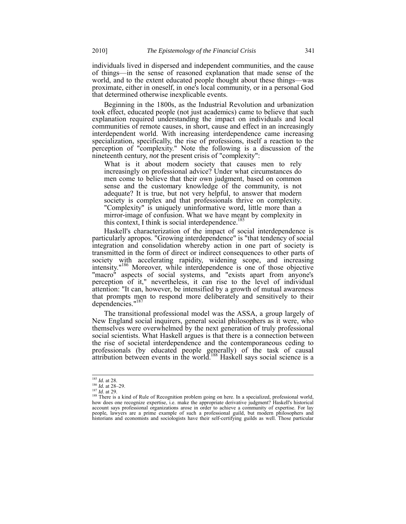individuals lived in dispersed and independent communities, and the cause of things—in the sense of reasoned explanation that made sense of the world, and to the extent educated people thought about these things—was proximate, either in oneself, in one's local community, or in a personal God that determined otherwise inexplicable events.

Beginning in the 1800s, as the Industrial Revolution and urbanization took effect, educated people (not just academics) came to believe that such explanation required understanding the impact on individuals and local communities of remote causes, in short, cause and effect in an increasingly interdependent world. With increasing interdependence came increasing specialization, specifically, the rise of professions, itself a reaction to the perception of "complexity." Note the following is a discussion of the nineteenth century, *not* the present crisis of "complexity":

What is it about modern society that causes men to rely increasingly on professional advice? Under what circumstances do men come to believe that their own judgment, based on common sense and the customary knowledge of the community, is not adequate? It is true, but not very helpful, to answer that modern society is complex and that professionals thrive on complexity. "Complexity" is uniquely uninformative word, little more than a mirror-image of confusion. What we have meant by complexity in this context, I think is social interdependence.<sup>185</sup>

Haskell's characterization of the impact of social interdependence is particularly apropos. "Growing interdependence" is "that tendency of social integration and consolidation whereby action in one part of society is transmitted in the form of direct or indirect consequences to other parts of society with accelerating rapidity, widening scope, and increasing intensity."186 Moreover, while interdependence is one of those objective "macro" aspects of social systems, and "exists apart from anyone's perception of it," nevertheless, it can rise to the level of individual attention: "It can, however, be intensified by a growth of mutual awareness that prompts men to respond more deliberately and sensitively to their dependencies."<sup>187</sup>

The transitional professional model was the ASSA, a group largely of New England social inquirers, general social philosophers as it were, who themselves were overwhelmed by the next generation of truly professional social scientists. What Haskell argues is that there is a connection between the rise of societal interdependence and the contemporaneous ceding to professionals (by educated people generally) of the task of causal attribution between events in the world.<sup>188</sup> Haskell says social science is a

 $185$  *Id.* at 28.

<sup>186</sup> *Id.* at 26.<br><sup>186</sup> *Id.* at 28.<br><sup>187</sup> *Id.* at 29.<br><sup>188</sup> There is a kind of Rule of Recognition problem going on here. In a specialized, professional world, how does one recognize expertise, i.e. make the appropriate derivative judgment? Haskell's historical account says professional organizations arose in order to achieve a community of expertise. For lay people, lawyers are a prime example of such a professional guild, but modern philosophers and historians and economists and sociologists have their self-certifying guilds as well. Those particular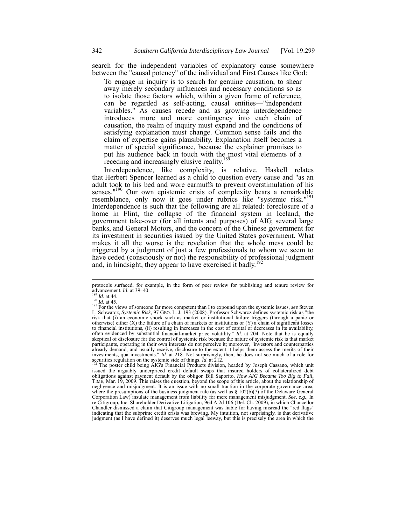search for the independent variables of explanatory cause somewhere between the "causal potency" of the individual and First Causes like God:

To engage in inquiry is to search for genuine causation, to shear away merely secondary influences and necessary conditions so as to isolate those factors which, within a given frame of reference, can be regarded as self-acting, causal entities—"independent variables." As causes recede and as growing interdependence introduces more and more contingency into each chain of causation, the realm of inquiry must expand and the conditions of satisfying explanation must change. Common sense fails and the claim of expertise gains plausibility. Explanation itself becomes a matter of special significance, because the explainer promises to put his audience back in touch with the most vital elements of a receding and increasingly elusive reality.<sup>1</sup>

Interdependence, like complexity, is relative. Haskell relates that Herbert Spencer learned as a child to question every cause and "as an adult took to his bed and wore earmuffs to prevent overstimulation of his senses."<sup>190</sup> Our own epistemic crisis of complexity bears a remarkable resemblance, only now it goes under rubrics like "systemic risk."<sup>191</sup> Interdependence is such that the following are all related: foreclosure of a home in Flint, the collapse of the financial system in Iceland, the government take-over (for all intents and purposes) of AIG, several large banks, and General Motors, and the concern of the Chinese government for its investment in securities issued by the United States government. What makes it all the worse is the revelation that the whole mess could be triggered by a judgment of just a few professionals to whom we seem to have ceded (consciously or not) the responsibility of professional judgment and, in hindsight, they appear to have exercised it badly.<sup>192</sup>

protocols surfaced, for example, in the form of peer review for publishing and tenure review for advancement. *Id.* at 39–40.<br><sup>189</sup>*Id.* at 44.

advancement. *Id.* at 39–40.<br><sup>189</sup> *Id.* at 44.<br><sup>190</sup> *Id.* at 45.<br><sup>191</sup> For the views of someone far more competent than I to expound upon the systemic issues, *see* Steven<br><sup>191</sup> For the views of someone far more competen risk that (i) an economic shock such as market or institutional failure triggers (through a panic or otherwise) either  $(X)$  the failure of a chain of markets or institutions or  $(Y)$  a chain of significant losses to financial institutions, (ii) resulting in increases in the cost of capital or decreases in its availability, often evidenced by substantial financial-market price volatility." *Id*. at 204. Note that he is equally skeptical of disclosure for the control of systemic risk because the nature of systemic risk is that market participants, operating in their own interests do not perceive it; moreover, "investors and counterparties already demand, and usually receive, disclosure to the extent it helps them assess the merits of their investments, qua investments." *Id.* at 218. Not surprisingly, then, he does not see much of a role for securities regulation on the systemic side of things. *Id.* at 212.<br><sup>192</sup> The poster child being AIG's Financial Prod

issued the arguably underpriced credit default swaps that insured holders of collateralized debt obligations against payment default by the obligor. Bill Saporito, *How AIG Became Too Big to Fail*, TIME, Mar. 19, 2009. This raises the question, beyond the scope of this article, about the relationship of negligence and misjudgment. It is an issue with no small traction in the corporate governance area, where the presumptions of the business judgment rule (as well as  $\S 102(b)(7)$  of the Delaware General Corporation Law) insulate management from liability for mere management misjudgment. *See, e.g.,* In re Citigroup, Inc. Shareholder Derivative Litigation, 964 A.2d 106 (Del. Ch. 2009), in which Chancellor Chandler dismissed a claim that Citigroup management was liable for having misread the "red flags" indicating that the subprime credit crisis was brewing. My intuition, not surprisingly, is that derivative judgment (as I have defined it) deserves much legal leeway, but this is precisely the area in which the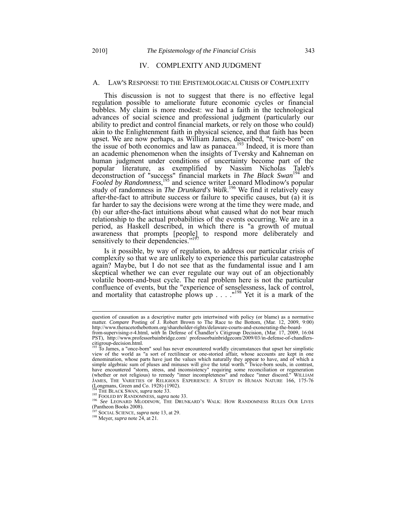# IV. COMPLEXITY AND JUDGMENT

#### A. LAW'S RESPONSE TO THE EPISTEMOLOGICAL CRISIS OF COMPLEXITY

This discussion is not to suggest that there is no effective legal regulation possible to ameliorate future economic cycles or financial bubbles. My claim is more modest: we had a faith in the technological advances of social science and professional judgment (particularly our ability to predict and control financial markets, or rely on those who could) akin to the Enlightenment faith in physical science, and that faith has been upset. We are now perhaps, as William James, described, "twice-born" on the issue of both economics and law as panacea.<sup>193</sup> Indeed, it is more than an academic phenomenon when the insights of Tversky and Kahneman on human judgment under conditions of uncertainty become part of the popular literature, as exemplified by Nassim Nicholas Taleb's deconstruction of "success" financial markets in *The Black Swan*<sup>194</sup> and Fooled by Randomness,<sup>195</sup> and science writer Leonard Mlodinow's popular study of randomness in *The Drunkard's Walk*. <sup>196</sup> We find it relatively easy after-the-fact to attribute success or failure to specific causes, but (a) it is far harder to say the decisions were wrong at the time they were made, and (b) our after-the-fact intuitions about what caused what do not bear much relationship to the actual probabilities of the events occurring. We are in a period, as Haskell described, in which there is "a growth of mutual awareness that prompts [people] to respond more deliberately and sensitively to their dependencies."<sup>197</sup>

Is it possible, by way of regulation, to address our particular crisis of complexity so that we are unlikely to experience this particular catastrophe again? Maybe, but I do not see that as the fundamental issue and I am skeptical whether we can ever regulate our way out of an objectionably volatile boom-and-bust cycle. The real problem here is not the particular confluence of events, but the "experience of senselessness, lack of control, and mortality that catastrophe plows up  $\dots$ .  $198$  Yet it is a mark of the

question of causation as a descriptive matter gets intertwined with policy (or blame) as a normative matter. *Compare* Posting of J. Robert Brown to The Race to the Bottom, (Mar. 12, 2009, 9:00) http://www.theracetothebottom.org/shareholder-rights/delaware-courts-and-exonerating-the-boardfrom-supervising-r-4.html, *with* In Defense of Chandler's Citigroup Decision, (Mar. 17, 2009, 16:04

PST), http://www.professorbainbridge.com/ professorbainbridgecom/2009/03/in-defense-of-chandlerscitigroup-decision.html.

<sup>193</sup> To James, a "once-born" soul has never encountered worldly circumstances that upset her simplistic view of the world as "a sort of rectilinear or one-storied affair, whose accounts are kept in one denomination, whose parts have just the values which naturally they appear to have, and of which a simple algebraic sum of pluses and minuses will give the total worth." Twice-born souls, in contrast, have encountered "storm, stress, and inconsistency" requiring some reconciliation or regeneration (whether or not religious) to remedy "inner incompleteness" and reduce "inner discord." WILLIAM JAMES, THE VARIETIES OF RELIGIOUS EXPERIENCE: A STUDY IN HUMAN NATURE 166, 175-76 (Longmans, Green and Co. 1928) (1902).<br><sup>194</sup> THE BLACK SWAN, *supra* note 33.

<sup>195</sup> FOOLED BY RANDOMNESS, *supra* note 33.<br><sup>195</sup> FOOLED BY RANDOMNESS, *supra* note 33.<br><sup>196</sup> *See* LEONARD MLODINOW, THE DRUNKARD'S WALK: HOW RANDOMNESS RULES OUR LIVES (Pantheon Books 2008).<br><sup>197</sup> SOCIAL SCIENCE, *supra* note 13, at 29.

<sup>&</sup>lt;sup>198</sup> Meyer, *supra* note 24, at 21.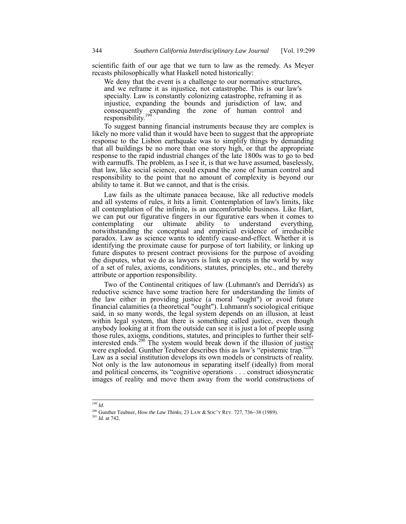scientific faith of our age that we turn to law as the remedy. As Meyer recasts philosophically what Haskell noted historically:

We deny that the event is a challenge to our normative structures, and we reframe it as injustice, not catastrophe. This is our law's specialty. Law is constantly colonizing catastrophe, reframing it as injustice, expanding the bounds and jurisdiction of law, and consequently expanding the zone of human control and responsibility.<sup>199</sup>

To suggest banning financial instruments because they are complex is likely no more valid than it would have been to suggest that the appropriate response to the Lisbon earthquake was to simplify things by demanding that all buildings be no more than one story high, or that the appropriate response to the rapid industrial changes of the late 1800s was to go to bed with earmuffs. The problem, as I see it, is that we have assumed, baselessly, that law, like social science, could expand the zone of human control and responsibility to the point that no amount of complexity is beyond our ability to tame it. But we cannot, and that is the crisis.

Law fails as the ultimate panacea because, like all reductive models and all systems of rules, it hits a limit. Contemplation of law's limits, like all contemplation of the infinite, is an uncomfortable business. Like Hart, we can put our figurative fingers in our figurative ears when it comes to contemplating our ultimate ability to understand everything, notwithstanding the conceptual and empirical evidence of irreducible paradox. Law as science wants to identify cause-and-effect. Whether it is identifying the proximate cause for purpose of tort liability, or linking up future disputes to present contract provisions for the purpose of avoiding the disputes, what we do as lawyers is link up events in the world by way of a set of rules, axioms, conditions, statutes, principles, etc., and thereby attribute or apportion responsibility.

Two of the Continental critiques of law (Luhmann's and Derrida's) as reductive science have some traction here for understanding the limits of the law either in providing justice (a moral "ought") or avoid future financial calamities (a theoretical "ought"). Luhmann's sociological critique said, in so many words, the legal system depends on an illusion, at least within legal system, that there is something called justice, even though anybody looking at it from the outside can see it is just a lot of people using those rules, axioms, conditions, statutes, and principles to further their selfinterested ends.<sup>200</sup> The system would break down if the illusion of justice were exploded. Gunther Teubner describes this as law's "epistemic trap."<sup>2</sup> Law as a social institution develops its own models or constructs of reality. Not only is the law autonomous in separating itself (ideally) from moral and political concerns, its "cognitive operations . . . construct idiosyncratic images of reality and move them away from the world constructions of

<sup>199</sup> *Id*.

<sup>200</sup> Gunther Teubner, *How the Law Thinks*, 23 LAW & SOC'Y REV. 727, 736–38 (1989). <sup>201</sup> *Id.* at 742.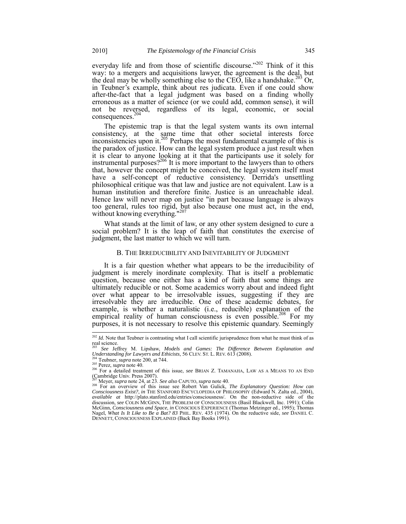everyday life and from those of scientific discourse."<sup>202</sup> Think of it this way: to a mergers and acquisitions lawyer, the agreement is the deal, but the deal may be wholly something else to the CEO, like a handshake.<sup>203</sup> Or, in Teubner's example, think about res judicata. Even if one could show after-the-fact that a legal judgment was based on a finding wholly erroneous as a matter of science (or we could add, common sense), it will not be reversed, regardless of its legal, economic, or social consequences.<sup>204</sup>

The epistemic trap is that the legal system wants its own internal consistency, at the same time that other societal interests force inconsistencies upon it. $205$  Perhaps the most fundamental example of this is the paradox of justice. How can the legal system produce a just result when it is clear to anyone looking at it that the participants use it solely for instrumental purposes? $2^{206}$  It is more important to the lawyers than to others that, however the concept might be conceived, the legal system itself must have a self-concept of reductive consistency. Derrida's unsettling philosophical critique was that law and justice are not equivalent. Law is a human institution and therefore finite. Justice is an unreachable ideal. Hence law will never map on justice "in part because language is always too general, rules too rigid, but also because one must act, in the end, without knowing everything."<sup>207</sup>

What stands at the limit of law, or any other system designed to cure a social problem? It is the leap of faith that constitutes the exercise of judgment, the last matter to which we will turn.

#### B. THE IRREDUCIBILITY AND INEVITABILITY OF JUDGMENT

It is a fair question whether what appears to be the irreducibility of judgment is merely inordinate complexity. That is itself a problematic question, because one either has a kind of faith that some things are ultimately reducible or not. Some academics worry about and indeed fight over what appear to be irresolvable issues, suggesting if they are irresolvable they are irreducible. One of these academic debates, for example, is whether a naturalistic (i.e., reducible) explanation of the empirical reality of human consciousness is even possible.<sup>208</sup> For my purposes, it is not necessary to resolve this epistemic quandary. Seemingly

<sup>&</sup>lt;sup>202</sup> Id. Note that Teubner is contrasting what I call scientific jurisprudence from what he must think of as real science.

<sup>&</sup>lt;sup>203</sup> *See* Jeffrey M. Lipshaw, *Models and Games: The Difference Between Explanation and Understanding for Lawyers and Ethicists, 56 CLEV. ST. L. REV. 613 (2008).* 

<sup>&</sup>lt;sup>204</sup> Teubner, *supra* note 200, at 744.<br><sup>205</sup> Perez, *supra* note 40.<br><sup>205</sup> Perez, *supra* note 40.<br><sup>206</sup> For a detailed treatment of this issue, *see* BRIAN Z. TAMANAHA, LAW AS A MEANS TO AN END (Cambridge Univ. Press 2007).<br><sup>207</sup> Meyer, *supra* note 24, at 23. See also CAPUTO, supra note 40.

<sup>&</sup>lt;sup>207</sup> Meyer, *supra* note 24, at 23. *See also* CAPUTO, *supra* note 40.<br><sup>208</sup> For an overview of this issue see Robert Van Gulick, *The Explanatory Question: How can*<br>*Consciousness Exist?*, *in* THE STANFORD ENCYCLOPEDIA *available at* http://plato.stanford.edu/entries/consciousness/. On the non-reductive side of the discussion, *see* COLIN MCGINN, THE PROBLEM OF CONSCIOUSNESS (Basil Blackwell, Inc. 1991); Colin McGinn, *Consciousness and Space*, *in* CONSCIOUS EXPERIENCE (Thomas Metzinger ed., 1995); Thomas Nagel, *What Is It Like to Be a Bat? 83* PHIL. REV*.* 435 (1974). On the reductive side, *see* DANIEL C. DENNETT, CONSCIOUSNESS EXPLAINED (Back Bay Books 1991).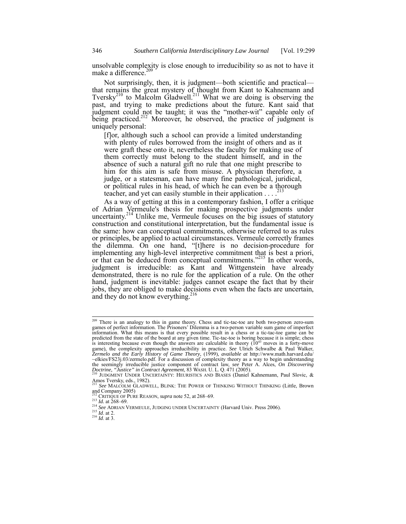unsolvable complexity is close enough to irreducibility so as not to have it make a difference.<sup>209</sup>

Not surprisingly, then, it is judgment—both scientific and practical that remains the great mystery of thought from Kant to Kahnemann and Tversky<sup>210</sup> to Malcolm Gladwell.<sup>211</sup> What we are doing is observing the past, and trying to make predictions about the future. Kant said that judgment could not be taught; it was the "mother-wit" capable only of being practiced.<sup>212</sup> Moreover, he observed, the practice of judgment is uniquely personal:

[f]or, although such a school can provide a limited understanding with plenty of rules borrowed from the insight of others and as it were graft these onto it, nevertheless the faculty for making use of them correctly must belong to the student himself, and in the absence of such a natural gift no rule that one might prescribe to him for this aim is safe from misuse. A physician therefore, a judge, or a statesman, can have many fine pathological, juridical, or political rules in his head, of which he can even be a thorough teacher, and yet can easily stumble in their application  $\ldots$ <sup>2</sup>

As a way of getting at this in a contemporary fashion, I offer a critique of Adrian Vermeule's thesis for making prospective judgments under uncertainty.<sup>214</sup> Unlike me, Vermeule focuses on the big issues of statutory construction and constitutional interpretation, but the fundamental issue is the same: how can conceptual commitments, otherwise referred to as rules or principles, be applied to actual circumstances. Vermeule correctly frames the dilemma. On one hand, "[t]here is no decision-procedure for implementing any high-level interpretive commitment that is best a priori, or that can be deduced from conceptual commitments."<sup>215</sup> In other words, judgment is irreducible: as Kant and Wittgenstein have already demonstrated, there is no rule for the application of a rule. On the other hand, judgment is inevitable: judges cannot escape the fact that by their jobs, they are obliged to make decisions even when the facts are uncertain, and they do not know everything.<sup>216</sup>

<sup>&</sup>lt;sup>209</sup> There is an analogy to this in game theory. Chess and tic-tac-toe are both two-person zero-sum games of perfect information. The Prisoners' Dilemma is a two-person variable sum game of imperfect information. What this means is that every possible result in a chess or a tic-tac-toe game can be predicted from the state of the board at any given time. Tic-tac-toe is boring because it is simple; chess is interesting because even though the answers are calculable in theory  $(10^{43}$  moves in a forty-move game), the complexity approaches irreducibility in practice. *See* Ulrich Schwalbe & Paul Walker, *Zermelo and the Early History of Game Theory*, (1999), *available at* http://www.math.harvard.edu/ ~elkies/FS23j.03/zermelo.pdf. For a discussion of complexity theory as a way to begin understanding the seemingly irreducible justice component of contract law, *see* Peter A. Alces, *On Discovering Doctrine, "Justice" in Contract Agreement*, 83 WASH. U. L. Q. 471 (2005). 210 JUDGMENT UNDER UNCERTAINTY: HEURISTICS AND BIASES (Daniel Kahnemann, Paul Slovic, &

Amos Tversky, eds., 1982).

<sup>211</sup> *See* MALCOLM GLADWELL, BLINK: THE POWER OF THINKING WITHOUT THINKING (Little, Brown and Company 2005)<br><sup>212</sup> CRITIQUE OF PURE REASON, *supra* note 52, at 268–69.

<sup>213</sup> *Id.* at 268–69. <br><sup>214</sup> *See* ADRIAN VERMEULE, JUDGING UNDER UNCERTAINTY (Harvard Univ. Press 2006).<br><sup>215</sup> *Id.* at 2.<br><sup>216</sup> *Id.* at 3.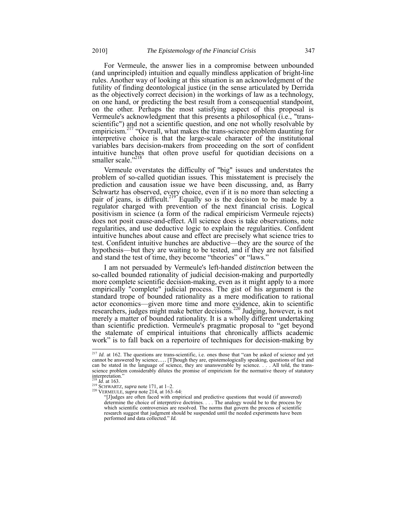For Vermeule, the answer lies in a compromise between unbounded (and unprincipled) intuition and equally mindless application of bright-line rules. Another way of looking at this situation is an acknowledgment of the futility of finding deontological justice (in the sense articulated by Derrida as the objectively correct decision) in the workings of law as a technology, on one hand, or predicting the best result from a consequential standpoint, on the other. Perhaps the most satisfying aspect of this proposal is Vermeule's acknowledgment that this presents a philosophical (i.e., "transscientific") and not a scientific question, and one not wholly resolvable by empiricism.<sup>217</sup> "Overall, what makes the trans-science problem daunting for interpretive choice is that the large-scale character of the institutional variables bars decision-makers from proceeding on the sort of confident intuitive hunches that often prove useful for quotidian decisions on a smaller scale."<sup>218</sup>

Vermeule overstates the difficulty of "big" issues and understates the problem of so-called quotidian issues. This misstatement is precisely the prediction and causation issue we have been discussing, and, as Barry Schwartz has observed, every choice, even if it is no more than selecting a pair of jeans, is difficult.<sup>219</sup> Equally so is the decision to be made by a regulator charged with prevention of the next financial crisis. Logical positivism in science (a form of the radical empiricism Vermeule rejects) does not posit cause-and-effect. All science does is take observations, note regularities, and use deductive logic to explain the regularities. Confident intuitive hunches about cause and effect are precisely what science tries to test. Confident intuitive hunches are abductive—they are the source of the hypothesis—but they are waiting to be tested, and if they are not falsified and stand the test of time, they become "theories" or "laws."

I am not persuaded by Vermeule's left-handed *distinction* between the so-called bounded rationality of judicial decision-making and purportedly more complete scientific decision-making, even as it might apply to a more empirically "complete" judicial process. The gist of his argument is the standard trope of bounded rationality as a mere modification to rational actor economics—given more time and more evidence, akin to scientific researchers, judges might make better decisions.<sup>220</sup> Judging, however, is not merely a matter of bounded rationality. It is a wholly different undertaking than scientific prediction. Vermeule's pragmatic proposal to "get beyond the stalemate of empirical intuitions that chronically afflicts academic work" is to fall back on a repertoire of techniques for decision-making by

<sup>&</sup>lt;sup>217</sup> *Id.* at 162. The questions are trans-scientific, i.e. ones those that "can be asked of science and yet cannot be answered by science…. [T]hough they are, epistemologically speaking, questions of fact and can be stated in the language of science, they are unanswerable by science. . . . All told, the transscience problem considerably dilutes the promise of empiricism for the normative theory of statutory interpretation."

<sup>218</sup> *Id.* at 163.<br>
<sup>219</sup> SCHWARTZ, *supra* note 171, at 1–2.<br>
<sup>220</sup> VERMEULE, *supra* note 214, at 163–64:<br>
<sup>201</sup> Char food with empire

<sup>&</sup>quot;[J]udges are often faced with empirical and predictive questions that would (if answered) determine the choice of interpretive doctrines. . . . The analogy would be to the process by which scientific controversies are resolved. The norms that govern the process of scientific research suggest that judgment should be suspended until the needed experiments have been performed and data collected." *Id.*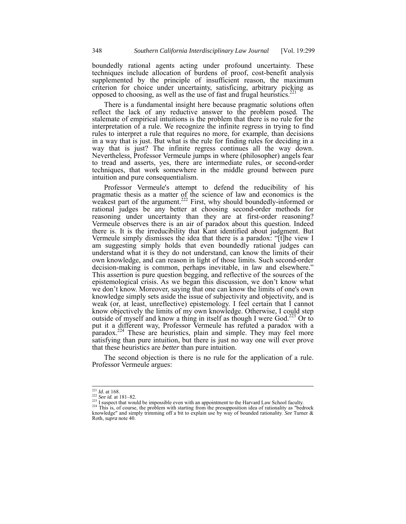boundedly rational agents acting under profound uncertainty. These techniques include allocation of burdens of proof, cost-benefit analysis supplemented by the principle of insufficient reason, the maximum criterion for choice under uncertainty, satisficing, arbitrary picking as opposed to choosing, as well as the use of fast and frugal heuristics.<sup>2</sup>

There is a fundamental insight here because pragmatic solutions often reflect the lack of any reductive answer to the problem posed. The stalemate of empirical intuitions is the problem that there is no rule for the interpretation of a rule. We recognize the infinite regress in trying to find rules to interpret a rule that requires no more, for example, than decisions in a way that is just. But what is the rule for finding rules for deciding in a way that is just? The infinite regress continues all the way down. Nevertheless, Professor Vermeule jumps in where (philosopher) angels fear to tread and asserts, yes, there are intermediate rules, or second-order techniques, that work somewhere in the middle ground between pure intuition and pure consequentialism.

Professor Vermeule's attempt to defend the reducibility of his pragmatic thesis as a matter of the science of law and economics is the weakest part of the argument.<sup>222</sup> First, why should boundedly-informed or rational judges be any better at choosing second-order methods for reasoning under uncertainty than they are at first-order reasoning? Vermeule observes there is an air of paradox about this question. Indeed there is. It is the irreducibility that Kant identified about judgment. But Vermeule simply dismisses the idea that there is a paradox: "[t]he view I am suggesting simply holds that even boundedly rational judges can understand what it is they do not understand, can know the limits of their own knowledge, and can reason in light of those limits. Such second-order decision-making is common, perhaps inevitable, in law and elsewhere." This assertion is pure question begging, and reflective of the sources of the epistemological crisis. As we began this discussion, we don't know what we don't know. Moreover, saying that one can know the limits of one's own knowledge simply sets aside the issue of subjectivity and objectivity, and is weak (or, at least, unreflective) epistemology. I feel certain that I cannot know objectively the limits of my own knowledge. Otherwise, I could step outside of myself and know a thing in itself as though I were God.<sup>223</sup> Or to put it a different way, Professor Vermeule has refuted a paradox with a paradox.<sup>224</sup> These are heuristics, plain and simple. They may feel more satisfying than pure intuition, but there is just no way one will ever prove that these heuristics are *better* than pure intuition.

The second objection is there is no rule for the application of a rule. Professor Vermeule argues:

 $\frac{221}{222}$  *Id.* at 168.<br> $\frac{222}{22}$  *See id.* at 181–82.

<sup>223</sup> I suspect that would be impossible even with an appointment to the Harvard Law School faculty.<br><sup>224</sup> This is, of course, the problem with starting from the presupposition idea of rationality as "bedrock"

knowledge" and simply trimming off a bit to explain use by way of bounded rationality. *See* Turner & Roth, *supra* note 40.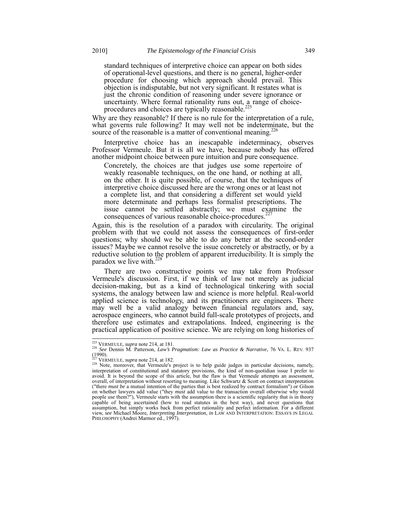standard techniques of interpretive choice can appear on both sides of operational-level questions, and there is no general, higher-order procedure for choosing which approach should prevail. This objection is indisputable, but not very significant. It restates what is just the chronic condition of reasoning under severe ignorance or uncertainty. Where formal rationality runs out,  $a_2$  range of choiceprocedures and choices are typically reasonable.<sup>2</sup>

Why are they reasonable? If there is no rule for the interpretation of a rule, what governs rule following? It may well not be indeterminate, but the source of the reasonable is a matter of conventional meaning.<sup>226</sup>

Interpretive choice has an inescapable indeterminacy, observes Professor Vermeule. But it is all we have, because nobody has offered another midpoint choice between pure intuition and pure consequence.

Concretely, the choices are that judges use some repertoire of weakly reasonable techniques, on the one hand, or nothing at all, on the other. It is quite possible, of course, that the techniques of interpretive choice discussed here are the wrong ones or at least not a complete list, and that considering a different set would yield more determinate and perhaps less formalist prescriptions. The issue cannot be settled abstractly; we must examine the consequences of various reasonable choice-procedures.<sup>2</sup>

Again, this is the resolution of a paradox with circularity. The original problem with that we could not assess the consequences of first-order questions; why should we be able to do any better at the second-order issues? Maybe we cannot resolve the issue concretely or abstractly, or by a reductive solution to the problem of apparent irreducibility. It is simply the paradox we live with.<sup>228</sup>

There are two constructive points we may take from Professor Vermeule's discussion. First, if we think of law not merely as judicial decision-making, but as a kind of technological tinkering with social systems, the analogy between law and science is more helpful. Real-world applied science is technology, and its practitioners are engineers. There may well be a valid analogy between financial regulators and, say, aerospace engineers, who cannot build full-scale prototypes of projects, and therefore use estimates and extrapolations. Indeed, engineering is the practical application of positive science. We are relying on long histories of

<sup>&</sup>lt;sup>225</sup> VERMEULE, *supra* note 214, at 181.

<sup>225</sup> VERMEULE, *supra* note 214, at 181. <sup>226</sup> *See* Dennis M. Patterson, *Law's Pragmatism: Law as Practice & Narrative*, 76 VA. L. REV. 937 (1990).<br> $^{227}$  VERMEULE, *supra* note 214, at 182.

<sup>&</sup>lt;sup>228</sup> Note, moreover, that Vermeule's project is to help guide judges in particular decisions, namely, interpretation of constitutional and statutory provisions, the kind of non-quotidian issue I prefer to avoid. It is beyond the scope of this article, but the flaw is that Vermeule attempts an assessment, overall, of interpretation without resorting to meaning. Like Schwartz & Scott on contract interpretation ("there *must be* a mutual intention of the parties that is best realized by contract formalism") or Gilson on whether lawyers add value ("they *must* add value to the transaction overall otherwise why would people use them?"), Vermeule starts with the assumption there is a scientific regularity that is in theory capable of being ascertained (how to read statutes in the best way), and never questions that assumption, but simply works back from perfect rationality and perfect information. For a different view, *see* Michael Moore, *Interpreting Interpretation*, *in* LAW AND INTERPRETATION: ESSAYS IN LEGAL PHILOSOPHY (Andrei Marmor ed., 1997).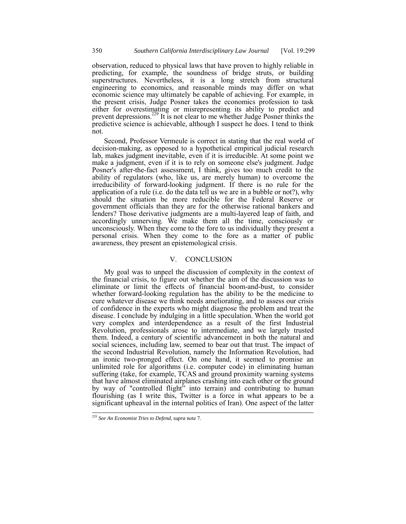observation, reduced to physical laws that have proven to highly reliable in predicting, for example, the soundness of bridge struts, or building superstructures. Nevertheless, it is a long stretch from structural engineering to economics, and reasonable minds may differ on what economic science may ultimately be capable of achieving. For example, in the present crisis, Judge Posner takes the economics profession to task either for overestimating or misrepresenting its ability to predict and prevent depressions.<sup>229</sup> It is not clear to me whether Judge Posner thinks the predictive science is achievable, although I suspect he does. I tend to think not.

Second, Professor Vermeule is correct in stating that the real world of decision-making, as opposed to a hypothetical empirical judicial research lab, makes judgment inevitable, even if it is irreducible. At some point we make a judgment, even if it is to rely on someone else's judgment. Judge Posner's after-the-fact assessment, I think, gives too much credit to the ability of regulators (who, like us, are merely human) to overcome the irreducibility of forward-looking judgment. If there is no rule for the application of a rule (i.e. do the data tell us we are in a bubble or not?), why should the situation be more reducible for the Federal Reserve or government officials than they are for the otherwise rational bankers and lenders? Those derivative judgments are a multi-layered leap of faith, and accordingly unnerving. We make them all the time, consciously or unconsciously. When they come to the fore to us individually they present a personal crisis. When they come to the fore as a matter of public awareness, they present an epistemological crisis.

#### V. CONCLUSION

My goal was to unpeel the discussion of complexity in the context of the financial crisis, to figure out whether the aim of the discussion was to eliminate or limit the effects of financial boom-and-bust, to consider whether forward-looking regulation has the ability to be the medicine to cure whatever disease we think needs ameliorating, and to assess our crisis of confidence in the experts who might diagnose the problem and treat the disease. I conclude by indulging in a little speculation. When the world got very complex and interdependence as a result of the first Industrial Revolution, professionals arose to intermediate, and we largely trusted them. Indeed, a century of scientific advancement in both the natural and social sciences, including law, seemed to bear out that trust. The impact of the second Industrial Revolution, namely the Information Revolution, had an ironic two-pronged effect. On one hand, it seemed to promise an unlimited role for algorithms (i.e. computer code) in eliminating human suffering (take, for example, TCAS and ground proximity warning systems that have almost eliminated airplanes crashing into each other or the ground by way of "controlled flight" into terrain) and contributing to human flourishing (as I write this, Twitter is a force in what appears to be a significant upheaval in the internal politics of Iran). One aspect of the latter

<sup>229</sup> *See An Economist Tries to Defend*, *supra* note 7.